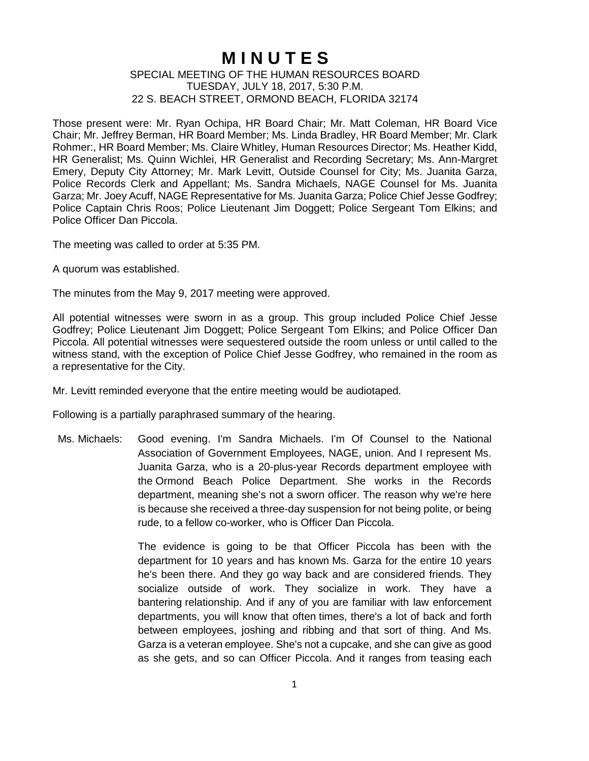## **M I N U T E S**

## SPECIAL MEETING OF THE HUMAN RESOURCES BOARD TUESDAY, JULY 18, 2017, 5:30 P.M. 22 S. BEACH STREET, ORMOND BEACH, FLORIDA 32174

Those present were: Mr. Ryan Ochipa, HR Board Chair; Mr. Matt Coleman, HR Board Vice Chair; Mr. Jeffrey Berman, HR Board Member; Ms. Linda Bradley, HR Board Member; Mr. Clark Rohmer:, HR Board Member; Ms. Claire Whitley, Human Resources Director; Ms. Heather Kidd, HR Generalist; Ms. Quinn Wichlei, HR Generalist and Recording Secretary; Ms. Ann-Margret Emery, Deputy City Attorney; Mr. Mark Levitt, Outside Counsel for City; Ms. Juanita Garza, Police Records Clerk and Appellant; Ms. Sandra Michaels, NAGE Counsel for Ms. Juanita Garza; Mr. Joey Acuff, NAGE Representative for Ms. Juanita Garza; Police Chief Jesse Godfrey; Police Captain Chris Roos; Police Lieutenant Jim Doggett; Police Sergeant Tom Elkins; and Police Officer Dan Piccola.

The meeting was called to order at 5:35 PM.

A quorum was established.

The minutes from the May 9, 2017 meeting were approved.

All potential witnesses were sworn in as a group. This group included Police Chief Jesse Godfrey; Police Lieutenant Jim Doggett; Police Sergeant Tom Elkins; and Police Officer Dan Piccola. All potential witnesses were sequestered outside the room unless or until called to the witness stand, with the exception of Police Chief Jesse Godfrey, who remained in the room as a representative for the City.

Mr. Levitt reminded everyone that the entire meeting would be audiotaped.

Following is a partially paraphrased summary of the hearing.

Ms. Michaels: Good evening. I'm Sandra Michaels. I'm Of Counsel to the National Association of Government Employees, NAGE, union. And I represent Ms. Juanita Garza, who is a 20-plus-year Records department employee with the Ormond Beach Police Department. She works in the Records department, meaning she's not a sworn officer. The reason why we're here is because she received a three-day suspension for not being polite, or being rude, to a fellow co-worker, who is Officer Dan Piccola.

> The evidence is going to be that Officer Piccola has been with the department for 10 years and has known Ms. Garza for the entire 10 years he's been there. And they go way back and are considered friends. They socialize outside of work. They socialize in work. They have a bantering relationship. And if any of you are familiar with law enforcement departments, you will know that often times, there's a lot of back and forth between employees, joshing and ribbing and that sort of thing. And Ms. Garza is a veteran employee. She's not a cupcake, and she can give as good as she gets, and so can Officer Piccola. And it ranges from teasing each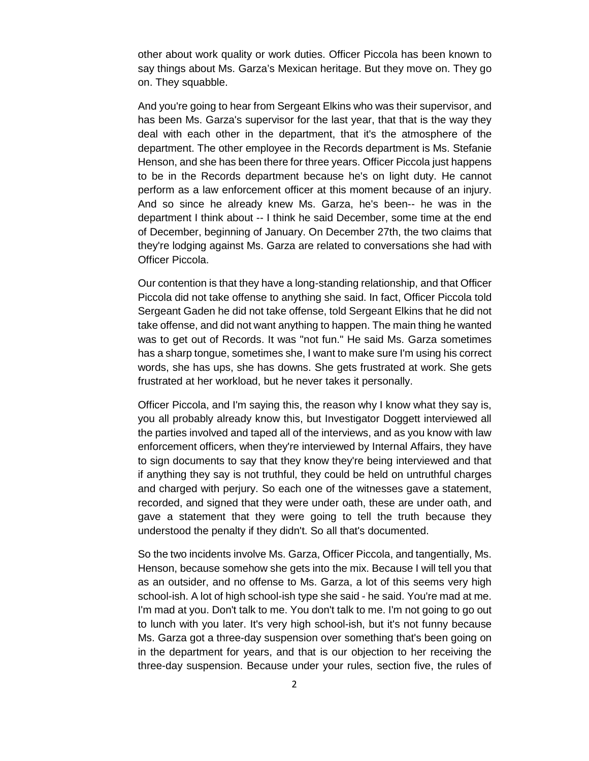other about work quality or work duties. Officer Piccola has been known to say things about Ms. Garza's Mexican heritage. But they move on. They go on. They squabble.

And you're going to hear from Sergeant Elkins who was their supervisor, and has been Ms. Garza's supervisor for the last year, that that is the way they deal with each other in the department, that it's the atmosphere of the department. The other employee in the Records department is Ms. Stefanie Henson, and she has been there for three years. Officer Piccola just happens to be in the Records department because he's on light duty. He cannot perform as a law enforcement officer at this moment because of an injury. And so since he already knew Ms. Garza, he's been-- he was in the department I think about -- I think he said December, some time at the end of December, beginning of January. On December 27th, the two claims that they're lodging against Ms. Garza are related to conversations she had with Officer Piccola.

Our contention is that they have a long-standing relationship, and that Officer Piccola did not take offense to anything she said. In fact, Officer Piccola told Sergeant Gaden he did not take offense, told Sergeant Elkins that he did not take offense, and did not want anything to happen. The main thing he wanted was to get out of Records. It was "not fun." He said Ms. Garza sometimes has a sharp tongue, sometimes she, I want to make sure I'm using his correct words, she has ups, she has downs. She gets frustrated at work. She gets frustrated at her workload, but he never takes it personally.

Officer Piccola, and I'm saying this, the reason why I know what they say is, you all probably already know this, but Investigator Doggett interviewed all the parties involved and taped all of the interviews, and as you know with law enforcement officers, when they're interviewed by Internal Affairs, they have to sign documents to say that they know they're being interviewed and that if anything they say is not truthful, they could be held on untruthful charges and charged with perjury. So each one of the witnesses gave a statement, recorded, and signed that they were under oath, these are under oath, and gave a statement that they were going to tell the truth because they understood the penalty if they didn't. So all that's documented.

So the two incidents involve Ms. Garza, Officer Piccola, and tangentially, Ms. Henson, because somehow she gets into the mix. Because I will tell you that as an outsider, and no offense to Ms. Garza, a lot of this seems very high school-ish. A lot of high school-ish type she said - he said. You're mad at me. I'm mad at you. Don't talk to me. You don't talk to me. I'm not going to go out to lunch with you later. It's very high school-ish, but it's not funny because Ms. Garza got a three-day suspension over something that's been going on in the department for years, and that is our objection to her receiving the three-day suspension. Because under your rules, section five, the rules of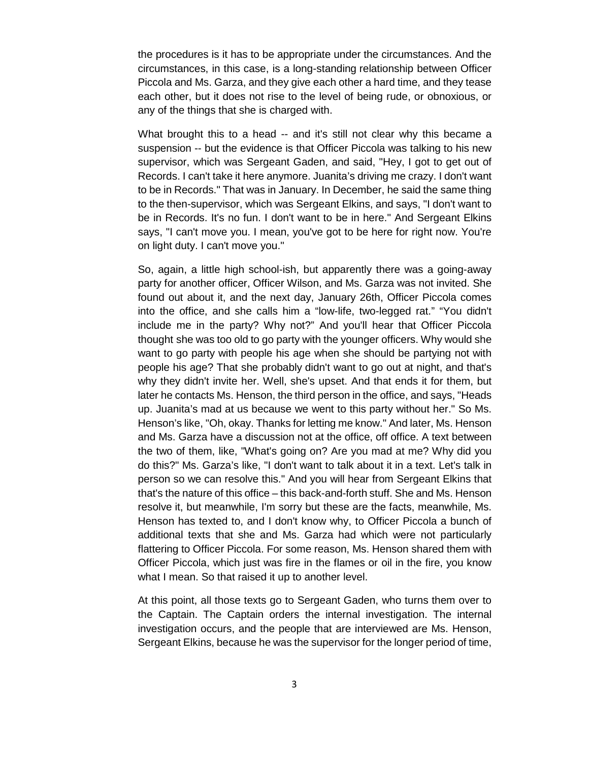the procedures is it has to be appropriate under the circumstances. And the circumstances, in this case, is a long-standing relationship between Officer Piccola and Ms. Garza, and they give each other a hard time, and they tease each other, but it does not rise to the level of being rude, or obnoxious, or any of the things that she is charged with.

What brought this to a head -- and it's still not clear why this became a suspension -- but the evidence is that Officer Piccola was talking to his new supervisor, which was Sergeant Gaden, and said, "Hey, I got to get out of Records. I can't take it here anymore. Juanita's driving me crazy. I don't want to be in Records." That was in January. In December, he said the same thing to the then-supervisor, which was Sergeant Elkins, and says, "I don't want to be in Records. It's no fun. I don't want to be in here." And Sergeant Elkins says, "I can't move you. I mean, you've got to be here for right now. You're on light duty. I can't move you."

So, again, a little high school-ish, but apparently there was a going-away party for another officer, Officer Wilson, and Ms. Garza was not invited. She found out about it, and the next day, January 26th, Officer Piccola comes into the office, and she calls him a "low-life, two-legged rat." "You didn't include me in the party? Why not?" And you'll hear that Officer Piccola thought she was too old to go party with the younger officers. Why would she want to go party with people his age when she should be partying not with people his age? That she probably didn't want to go out at night, and that's why they didn't invite her. Well, she's upset. And that ends it for them, but later he contacts Ms. Henson, the third person in the office, and says, "Heads up. Juanita's mad at us because we went to this party without her." So Ms. Henson's like, "Oh, okay. Thanks for letting me know." And later, Ms. Henson and Ms. Garza have a discussion not at the office, off office. A text between the two of them, like, "What's going on? Are you mad at me? Why did you do this?" Ms. Garza's like, "I don't want to talk about it in a text. Let's talk in person so we can resolve this." And you will hear from Sergeant Elkins that that's the nature of this office – this back-and-forth stuff. She and Ms. Henson resolve it, but meanwhile, I'm sorry but these are the facts, meanwhile, Ms. Henson has texted to, and I don't know why, to Officer Piccola a bunch of additional texts that she and Ms. Garza had which were not particularly flattering to Officer Piccola. For some reason, Ms. Henson shared them with Officer Piccola, which just was fire in the flames or oil in the fire, you know what I mean. So that raised it up to another level.

At this point, all those texts go to Sergeant Gaden, who turns them over to the Captain. The Captain orders the internal investigation. The internal investigation occurs, and the people that are interviewed are Ms. Henson, Sergeant Elkins, because he was the supervisor for the longer period of time,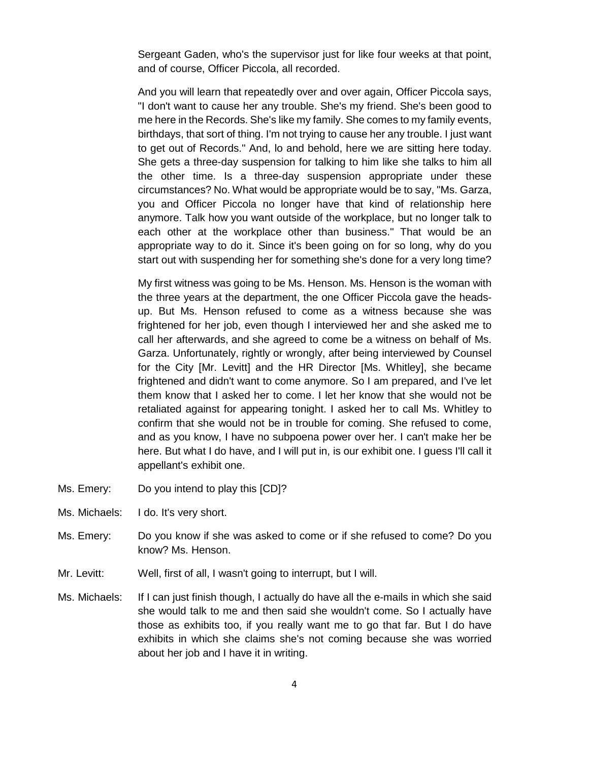Sergeant Gaden, who's the supervisor just for like four weeks at that point, and of course, Officer Piccola, all recorded.

And you will learn that repeatedly over and over again, Officer Piccola says, "I don't want to cause her any trouble. She's my friend. She's been good to me here in the Records. She's like my family. She comes to my family events, birthdays, that sort of thing. I'm not trying to cause her any trouble. I just want to get out of Records." And, lo and behold, here we are sitting here today. She gets a three-day suspension for talking to him like she talks to him all the other time. Is a three-day suspension appropriate under these circumstances? No. What would be appropriate would be to say, "Ms. Garza, you and Officer Piccola no longer have that kind of relationship here anymore. Talk how you want outside of the workplace, but no longer talk to each other at the workplace other than business." That would be an appropriate way to do it. Since it's been going on for so long, why do you start out with suspending her for something she's done for a very long time?

My first witness was going to be Ms. Henson. Ms. Henson is the woman with the three years at the department, the one Officer Piccola gave the headsup. But Ms. Henson refused to come as a witness because she was frightened for her job, even though I interviewed her and she asked me to call her afterwards, and she agreed to come be a witness on behalf of Ms. Garza. Unfortunately, rightly or wrongly, after being interviewed by Counsel for the City [Mr. Levitt] and the HR Director [Ms. Whitley], she became frightened and didn't want to come anymore. So I am prepared, and I've let them know that I asked her to come. I let her know that she would not be retaliated against for appearing tonight. I asked her to call Ms. Whitley to confirm that she would not be in trouble for coming. She refused to come, and as you know, I have no subpoena power over her. I can't make her be here. But what I do have, and I will put in, is our exhibit one. I quess I'll call it appellant's exhibit one.

- Ms. Emery: Do you intend to play this [CD]?
- Ms. Michaels: I do. It's very short.
- Ms. Emery: Do you know if she was asked to come or if she refused to come? Do you know? Ms. Henson.
- Mr. Levitt: Well, first of all, I wasn't going to interrupt, but I will.
- Ms. Michaels: If I can just finish though, I actually do have all the e-mails in which she said she would talk to me and then said she wouldn't come. So I actually have those as exhibits too, if you really want me to go that far. But I do have exhibits in which she claims she's not coming because she was worried about her job and I have it in writing.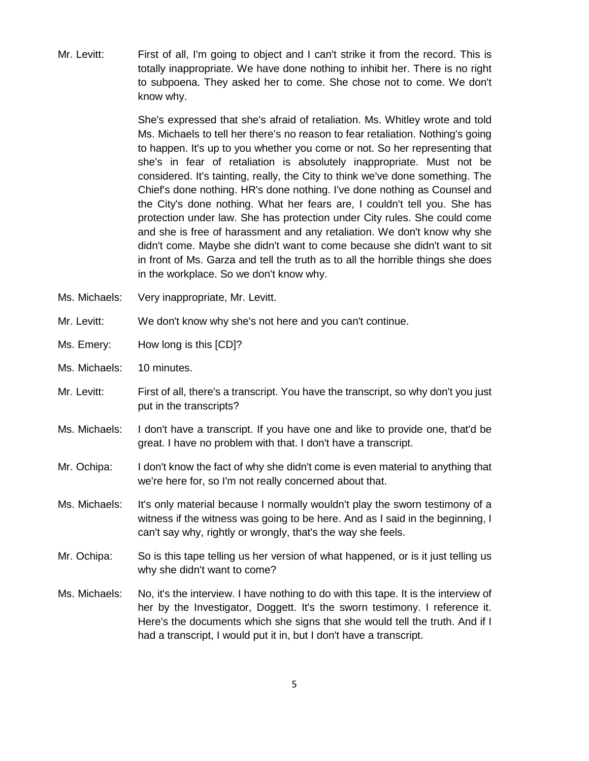Mr. Levitt: First of all, I'm going to object and I can't strike it from the record. This is totally inappropriate. We have done nothing to inhibit her. There is no right to subpoena. They asked her to come. She chose not to come. We don't know why.

> She's expressed that she's afraid of retaliation. Ms. Whitley wrote and told Ms. Michaels to tell her there's no reason to fear retaliation. Nothing's going to happen. It's up to you whether you come or not. So her representing that she's in fear of retaliation is absolutely inappropriate. Must not be considered. It's tainting, really, the City to think we've done something. The Chief's done nothing. HR's done nothing. I've done nothing as Counsel and the City's done nothing. What her fears are, I couldn't tell you. She has protection under law. She has protection under City rules. She could come and she is free of harassment and any retaliation. We don't know why she didn't come. Maybe she didn't want to come because she didn't want to sit in front of Ms. Garza and tell the truth as to all the horrible things she does in the workplace. So we don't know why.

- Ms. Michaels: Very inappropriate, Mr. Levitt.
- Mr. Levitt: We don't know why she's not here and you can't continue.
- Ms. Emery: How long is this [CD]?
- Ms. Michaels: 10 minutes.
- Mr. Levitt: First of all, there's a transcript. You have the transcript, so why don't you just put in the transcripts?
- Ms. Michaels: I don't have a transcript. If you have one and like to provide one, that'd be great. I have no problem with that. I don't have a transcript.
- Mr. Ochipa: I don't know the fact of why she didn't come is even material to anything that we're here for, so I'm not really concerned about that.
- Ms. Michaels: It's only material because I normally wouldn't play the sworn testimony of a witness if the witness was going to be here. And as I said in the beginning, I can't say why, rightly or wrongly, that's the way she feels.
- Mr. Ochipa: So is this tape telling us her version of what happened, or is it just telling us why she didn't want to come?
- Ms. Michaels: No, it's the interview. I have nothing to do with this tape. It is the interview of her by the Investigator, Doggett. It's the sworn testimony. I reference it. Here's the documents which she signs that she would tell the truth. And if I had a transcript, I would put it in, but I don't have a transcript.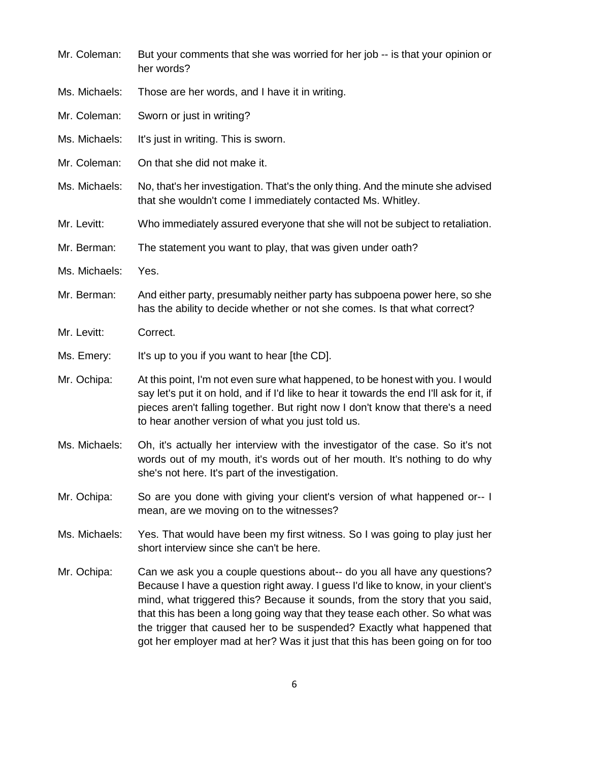| Mr. Coleman:  | But your comments that she was worried for her job -- is that your opinion or<br>her words?                                                                                                                                                                                                                                                                                                                                                                                           |
|---------------|---------------------------------------------------------------------------------------------------------------------------------------------------------------------------------------------------------------------------------------------------------------------------------------------------------------------------------------------------------------------------------------------------------------------------------------------------------------------------------------|
| Ms. Michaels: | Those are her words, and I have it in writing.                                                                                                                                                                                                                                                                                                                                                                                                                                        |
| Mr. Coleman:  | Sworn or just in writing?                                                                                                                                                                                                                                                                                                                                                                                                                                                             |
| Ms. Michaels: | It's just in writing. This is sworn.                                                                                                                                                                                                                                                                                                                                                                                                                                                  |
| Mr. Coleman:  | On that she did not make it.                                                                                                                                                                                                                                                                                                                                                                                                                                                          |
| Ms. Michaels: | No, that's her investigation. That's the only thing. And the minute she advised<br>that she wouldn't come I immediately contacted Ms. Whitley.                                                                                                                                                                                                                                                                                                                                        |
| Mr. Levitt:   | Who immediately assured everyone that she will not be subject to retaliation.                                                                                                                                                                                                                                                                                                                                                                                                         |
| Mr. Berman:   | The statement you want to play, that was given under oath?                                                                                                                                                                                                                                                                                                                                                                                                                            |
| Ms. Michaels: | Yes.                                                                                                                                                                                                                                                                                                                                                                                                                                                                                  |
| Mr. Berman:   | And either party, presumably neither party has subpoena power here, so she<br>has the ability to decide whether or not she comes. Is that what correct?                                                                                                                                                                                                                                                                                                                               |
| Mr. Levitt:   | Correct.                                                                                                                                                                                                                                                                                                                                                                                                                                                                              |
| Ms. Emery:    | It's up to you if you want to hear [the CD].                                                                                                                                                                                                                                                                                                                                                                                                                                          |
| Mr. Ochipa:   | At this point, I'm not even sure what happened, to be honest with you. I would<br>say let's put it on hold, and if I'd like to hear it towards the end I'll ask for it, if<br>pieces aren't falling together. But right now I don't know that there's a need<br>to hear another version of what you just told us.                                                                                                                                                                     |
| Ms. Michaels: | Oh, it's actually her interview with the investigator of the case. So it's not<br>words out of my mouth, it's words out of her mouth. It's nothing to do why<br>she's not here. It's part of the investigation.                                                                                                                                                                                                                                                                       |
| Mr. Ochipa:   | So are you done with giving your client's version of what happened or-- I<br>mean, are we moving on to the witnesses?                                                                                                                                                                                                                                                                                                                                                                 |
| Ms. Michaels: | Yes. That would have been my first witness. So I was going to play just her<br>short interview since she can't be here.                                                                                                                                                                                                                                                                                                                                                               |
| Mr. Ochipa:   | Can we ask you a couple questions about-- do you all have any questions?<br>Because I have a question right away. I guess I'd like to know, in your client's<br>mind, what triggered this? Because it sounds, from the story that you said,<br>that this has been a long going way that they tease each other. So what was<br>the trigger that caused her to be suspended? Exactly what happened that<br>got her employer mad at her? Was it just that this has been going on for too |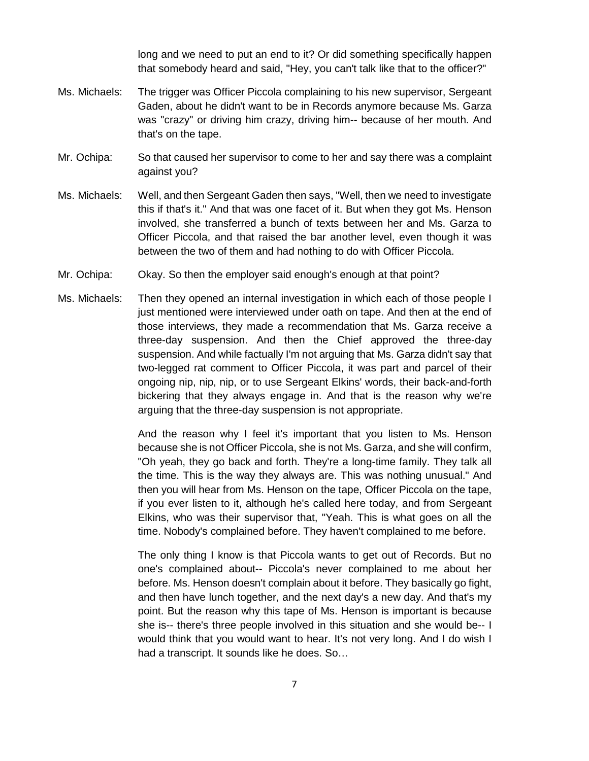long and we need to put an end to it? Or did something specifically happen that somebody heard and said, "Hey, you can't talk like that to the officer?"

- Ms. Michaels: The trigger was Officer Piccola complaining to his new supervisor, Sergeant Gaden, about he didn't want to be in Records anymore because Ms. Garza was "crazy" or driving him crazy, driving him-- because of her mouth. And that's on the tape.
- Mr. Ochipa: So that caused her supervisor to come to her and say there was a complaint against you?
- Ms. Michaels: Well, and then Sergeant Gaden then says, "Well, then we need to investigate this if that's it." And that was one facet of it. But when they got Ms. Henson involved, she transferred a bunch of texts between her and Ms. Garza to Officer Piccola, and that raised the bar another level, even though it was between the two of them and had nothing to do with Officer Piccola.
- Mr. Ochipa: Okay. So then the employer said enough's enough at that point?
- Ms. Michaels: Then they opened an internal investigation in which each of those people I just mentioned were interviewed under oath on tape. And then at the end of those interviews, they made a recommendation that Ms. Garza receive a three-day suspension. And then the Chief approved the three-day suspension. And while factually I'm not arguing that Ms. Garza didn't say that two-legged rat comment to Officer Piccola, it was part and parcel of their ongoing nip, nip, nip, or to use Sergeant Elkins' words, their back-and-forth bickering that they always engage in. And that is the reason why we're arguing that the three-day suspension is not appropriate.

And the reason why I feel it's important that you listen to Ms. Henson because she is not Officer Piccola, she is not Ms. Garza, and she will confirm, "Oh yeah, they go back and forth. They're a long-time family. They talk all the time. This is the way they always are. This was nothing unusual." And then you will hear from Ms. Henson on the tape, Officer Piccola on the tape, if you ever listen to it, although he's called here today, and from Sergeant Elkins, who was their supervisor that, "Yeah. This is what goes on all the time. Nobody's complained before. They haven't complained to me before.

The only thing I know is that Piccola wants to get out of Records. But no one's complained about-- Piccola's never complained to me about her before. Ms. Henson doesn't complain about it before. They basically go fight, and then have lunch together, and the next day's a new day. And that's my point. But the reason why this tape of Ms. Henson is important is because she is-- there's three people involved in this situation and she would be-- I would think that you would want to hear. It's not very long. And I do wish I had a transcript. It sounds like he does. So…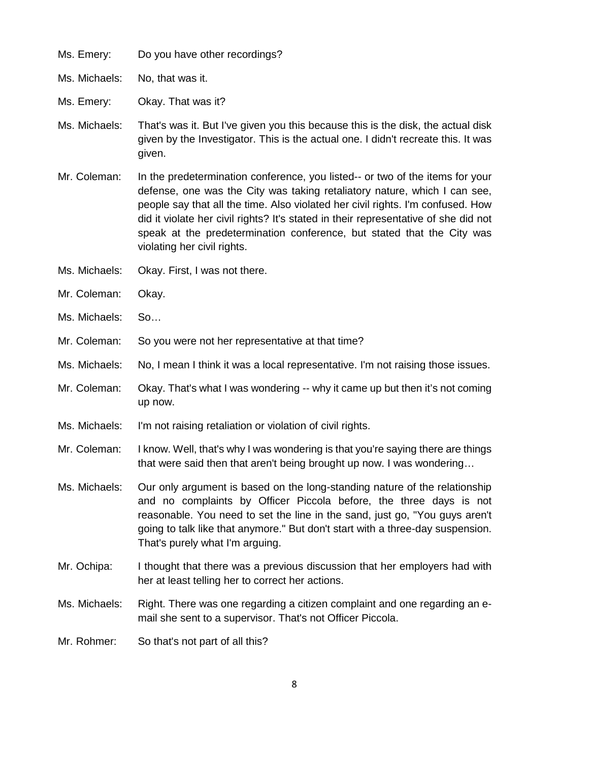Ms. Emery: Do you have other recordings?

Ms. Michaels: No, that was it.

Ms. Emery: Okay. That was it?

- Ms. Michaels: That's was it. But I've given you this because this is the disk, the actual disk given by the Investigator. This is the actual one. I didn't recreate this. It was given.
- Mr. Coleman: In the predetermination conference, you listed-- or two of the items for your defense, one was the City was taking retaliatory nature, which I can see, people say that all the time. Also violated her civil rights. I'm confused. How did it violate her civil rights? It's stated in their representative of she did not speak at the predetermination conference, but stated that the City was violating her civil rights.
- Ms. Michaels: Okay. First, I was not there.
- Mr. Coleman: Okay.
- Ms. Michaels: So…
- Mr. Coleman: So you were not her representative at that time?
- Ms. Michaels: No, I mean I think it was a local representative. I'm not raising those issues.
- Mr. Coleman: Okay. That's what I was wondering -- why it came up but then it's not coming up now.
- Ms. Michaels: I'm not raising retaliation or violation of civil rights.
- Mr. Coleman: I know. Well, that's why I was wondering is that you're saying there are things that were said then that aren't being brought up now. I was wondering…
- Ms. Michaels: Our only argument is based on the long-standing nature of the relationship and no complaints by Officer Piccola before, the three days is not reasonable. You need to set the line in the sand, just go, "You guys aren't going to talk like that anymore." But don't start with a three-day suspension. That's purely what I'm arguing.
- Mr. Ochipa: I thought that there was a previous discussion that her employers had with her at least telling her to correct her actions.
- Ms. Michaels: Right. There was one regarding a citizen complaint and one regarding an email she sent to a supervisor. That's not Officer Piccola.
- Mr. Rohmer: So that's not part of all this?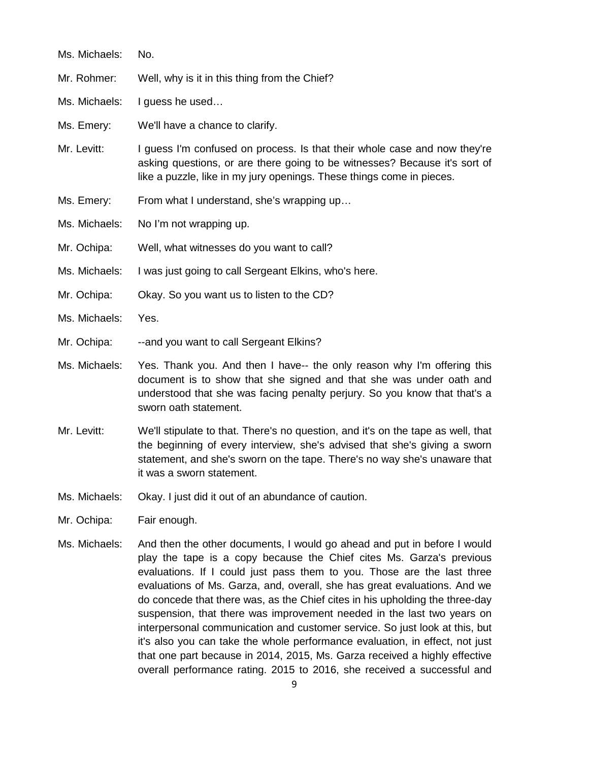| Ms. Michaels: | No.                                                                                                                                                                                                                                                                     |
|---------------|-------------------------------------------------------------------------------------------------------------------------------------------------------------------------------------------------------------------------------------------------------------------------|
| Mr. Rohmer:   | Well, why is it in this thing from the Chief?                                                                                                                                                                                                                           |
| Ms. Michaels: | I guess he used                                                                                                                                                                                                                                                         |
| Ms. Emery:    | We'll have a chance to clarify.                                                                                                                                                                                                                                         |
| Mr. Levitt:   | I guess I'm confused on process. Is that their whole case and now they're<br>asking questions, or are there going to be witnesses? Because it's sort of<br>like a puzzle, like in my jury openings. These things come in pieces.                                        |
| Ms. Emery:    | From what I understand, she's wrapping up                                                                                                                                                                                                                               |
| Ms. Michaels: | No I'm not wrapping up.                                                                                                                                                                                                                                                 |
| Mr. Ochipa:   | Well, what witnesses do you want to call?                                                                                                                                                                                                                               |
| Ms. Michaels: | I was just going to call Sergeant Elkins, who's here.                                                                                                                                                                                                                   |
| Mr. Ochipa:   | Okay. So you want us to listen to the CD?                                                                                                                                                                                                                               |
| Ms. Michaels: | Yes.                                                                                                                                                                                                                                                                    |
| Mr. Ochipa:   | --and you want to call Sergeant Elkins?                                                                                                                                                                                                                                 |
| Ms. Michaels: | Yes. Thank you. And then I have-- the only reason why I'm offering this<br>document is to show that she signed and that she was under oath and<br>understood that she was facing penalty perjury. So you know that that's a<br>sworn oath statement.                    |
| Mr. Levitt:   | We'll stipulate to that. There's no question, and it's on the tape as well, that<br>the beginning of every interview, she's advised that she's giving a sworn<br>statement, and she's sworn on the tape. There's no way she's unaware that<br>it was a sworn statement. |

- Ms. Michaels: Okay. I just did it out of an abundance of caution.
- Mr. Ochipa: Fair enough.
- Ms. Michaels: And then the other documents, I would go ahead and put in before I would play the tape is a copy because the Chief cites Ms. Garza's previous evaluations. If I could just pass them to you. Those are the last three evaluations of Ms. Garza, and, overall, she has great evaluations. And we do concede that there was, as the Chief cites in his upholding the three-day suspension, that there was improvement needed in the last two years on interpersonal communication and customer service. So just look at this, but it's also you can take the whole performance evaluation, in effect, not just that one part because in 2014, 2015, Ms. Garza received a highly effective overall performance rating. 2015 to 2016, she received a successful and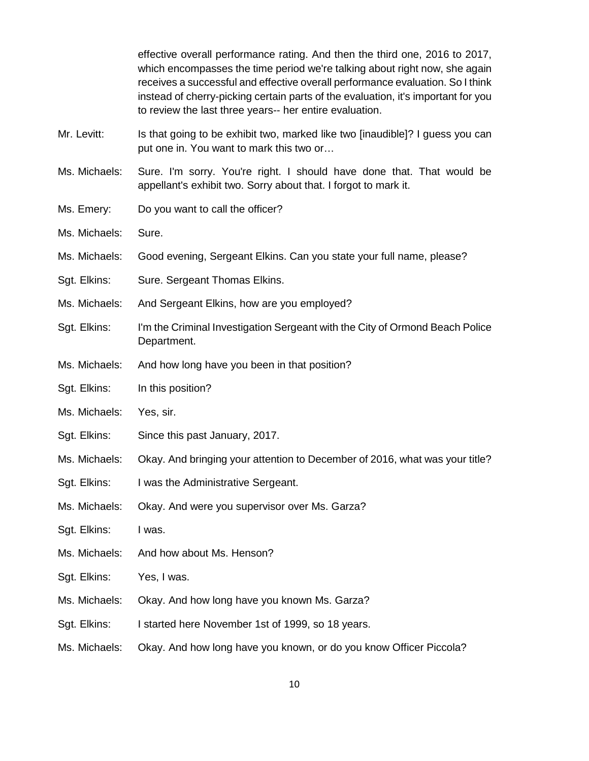|               | effective overall performance rating. And then the third one, 2016 to 2017,<br>which encompasses the time period we're talking about right now, she again<br>receives a successful and effective overall performance evaluation. So I think<br>instead of cherry-picking certain parts of the evaluation, it's important for you<br>to review the last three years-- her entire evaluation. |
|---------------|---------------------------------------------------------------------------------------------------------------------------------------------------------------------------------------------------------------------------------------------------------------------------------------------------------------------------------------------------------------------------------------------|
| Mr. Levitt:   | Is that going to be exhibit two, marked like two [inaudible]? I guess you can<br>put one in. You want to mark this two or                                                                                                                                                                                                                                                                   |
| Ms. Michaels: | Sure. I'm sorry. You're right. I should have done that. That would be<br>appellant's exhibit two. Sorry about that. I forgot to mark it.                                                                                                                                                                                                                                                    |
| Ms. Emery:    | Do you want to call the officer?                                                                                                                                                                                                                                                                                                                                                            |
| Ms. Michaels: | Sure.                                                                                                                                                                                                                                                                                                                                                                                       |
| Ms. Michaels: | Good evening, Sergeant Elkins. Can you state your full name, please?                                                                                                                                                                                                                                                                                                                        |
| Sgt. Elkins:  | Sure. Sergeant Thomas Elkins.                                                                                                                                                                                                                                                                                                                                                               |
| Ms. Michaels: | And Sergeant Elkins, how are you employed?                                                                                                                                                                                                                                                                                                                                                  |
| Sgt. Elkins:  | I'm the Criminal Investigation Sergeant with the City of Ormond Beach Police<br>Department.                                                                                                                                                                                                                                                                                                 |
| Ms. Michaels: | And how long have you been in that position?                                                                                                                                                                                                                                                                                                                                                |
| Sgt. Elkins:  | In this position?                                                                                                                                                                                                                                                                                                                                                                           |
| Ms. Michaels: | Yes, sir.                                                                                                                                                                                                                                                                                                                                                                                   |
| Sgt. Elkins:  | Since this past January, 2017.                                                                                                                                                                                                                                                                                                                                                              |
| Ms. Michaels: | Okay. And bringing your attention to December of 2016, what was your title?                                                                                                                                                                                                                                                                                                                 |
| Sgt. Elkins:  | I was the Administrative Sergeant.                                                                                                                                                                                                                                                                                                                                                          |
| Ms. Michaels: | Okay. And were you supervisor over Ms. Garza?                                                                                                                                                                                                                                                                                                                                               |
| Sgt. Elkins:  | I was.                                                                                                                                                                                                                                                                                                                                                                                      |
| Ms. Michaels: | And how about Ms. Henson?                                                                                                                                                                                                                                                                                                                                                                   |
| Sgt. Elkins:  | Yes, I was.                                                                                                                                                                                                                                                                                                                                                                                 |
| Ms. Michaels: | Okay. And how long have you known Ms. Garza?                                                                                                                                                                                                                                                                                                                                                |
| Sgt. Elkins:  | I started here November 1st of 1999, so 18 years.                                                                                                                                                                                                                                                                                                                                           |
| Ms. Michaels: | Okay. And how long have you known, or do you know Officer Piccola?                                                                                                                                                                                                                                                                                                                          |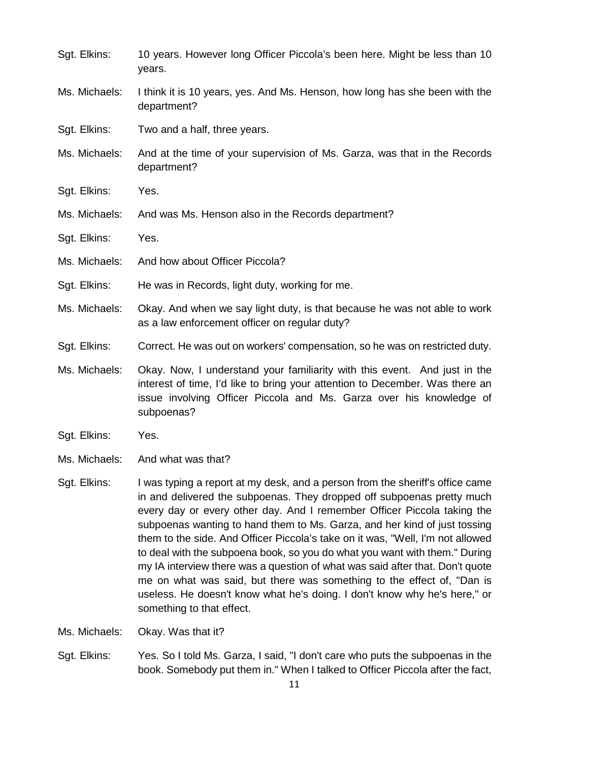| Sgt. Elkins:  | 10 years. However long Officer Piccola's been here. Might be less than 10<br>years.                                                                                                                                                            |
|---------------|------------------------------------------------------------------------------------------------------------------------------------------------------------------------------------------------------------------------------------------------|
| Ms. Michaels: | I think it is 10 years, yes. And Ms. Henson, how long has she been with the<br>department?                                                                                                                                                     |
| Sgt. Elkins:  | Two and a half, three years.                                                                                                                                                                                                                   |
| Ms. Michaels: | And at the time of your supervision of Ms. Garza, was that in the Records<br>department?                                                                                                                                                       |
| Sgt. Elkins:  | Yes.                                                                                                                                                                                                                                           |
| Ms. Michaels: | And was Ms. Henson also in the Records department?                                                                                                                                                                                             |
| Sgt. Elkins:  | Yes.                                                                                                                                                                                                                                           |
| Ms. Michaels: | And how about Officer Piccola?                                                                                                                                                                                                                 |
| Sgt. Elkins:  | He was in Records, light duty, working for me.                                                                                                                                                                                                 |
| Ms. Michaels: | Okay. And when we say light duty, is that because he was not able to work<br>as a law enforcement officer on regular duty?                                                                                                                     |
| Sgt. Elkins:  | Correct. He was out on workers' compensation, so he was on restricted duty.                                                                                                                                                                    |
| Ms. Michaels: | Okay. Now, I understand your familiarity with this event. And just in the<br>interest of time, I'd like to bring your attention to December. Was there an<br>issue involving Officer Piccola and Ms. Garza over his knowledge of<br>subpoenas? |
| Sgt. Elkins:  | Yes.                                                                                                                                                                                                                                           |
| Ms. Michaels: | And what was that?                                                                                                                                                                                                                             |
| Sgt. Elkins:  | I was typing a report at my desk, and a person from the sheriff's office came<br>in and delivered the subpoenas. They dropped off subpoenas pretty much<br>aveny day at aveny other day. And I remember Officer Discola toking the             |

- every day or every other day. And I remember Officer Piccola taking the subpoenas wanting to hand them to Ms. Garza, and her kind of just tossing them to the side. And Officer Piccola's take on it was, "Well, I'm not allowed to deal with the subpoena book, so you do what you want with them." During my IA interview there was a question of what was said after that. Don't quote me on what was said, but there was something to the effect of, "Dan is useless. He doesn't know what he's doing. I don't know why he's here," or something to that effect.
- Ms. Michaels: Okay. Was that it?
- Sgt. Elkins: Yes. So I told Ms. Garza, I said, "I don't care who puts the subpoenas in the book. Somebody put them in." When I talked to Officer Piccola after the fact,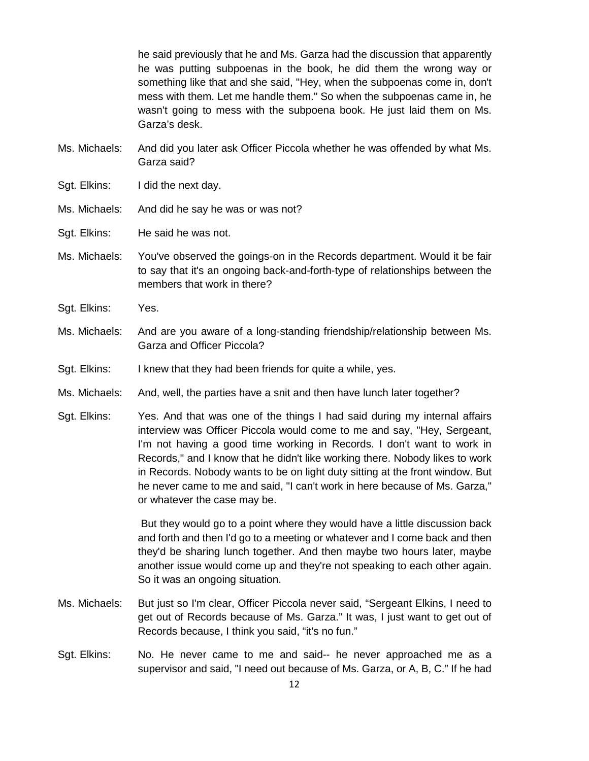he said previously that he and Ms. Garza had the discussion that apparently he was putting subpoenas in the book, he did them the wrong way or something like that and she said, "Hey, when the subpoenas come in, don't mess with them. Let me handle them." So when the subpoenas came in, he wasn't going to mess with the subpoena book. He just laid them on Ms. Garza's desk.

- Ms. Michaels: And did you later ask Officer Piccola whether he was offended by what Ms. Garza said?
- Sgt. Elkins: I did the next day.
- Ms. Michaels: And did he say he was or was not?
- Sgt. Elkins: He said he was not.
- Ms. Michaels: You've observed the goings-on in the Records department. Would it be fair to say that it's an ongoing back-and-forth-type of relationships between the members that work in there?
- Sgt. Elkins: Yes.
- Ms. Michaels: And are you aware of a long-standing friendship/relationship between Ms. Garza and Officer Piccola?
- Sgt. Elkins: I knew that they had been friends for quite a while, yes.
- Ms. Michaels: And, well, the parties have a snit and then have lunch later together?
- Sgt. Elkins: Yes. And that was one of the things I had said during my internal affairs interview was Officer Piccola would come to me and say, "Hey, Sergeant, I'm not having a good time working in Records. I don't want to work in Records," and I know that he didn't like working there. Nobody likes to work in Records. Nobody wants to be on light duty sitting at the front window. But he never came to me and said, "I can't work in here because of Ms. Garza," or whatever the case may be.

But they would go to a point where they would have a little discussion back and forth and then I'd go to a meeting or whatever and I come back and then they'd be sharing lunch together. And then maybe two hours later, maybe another issue would come up and they're not speaking to each other again. So it was an ongoing situation.

- Ms. Michaels: But just so I'm clear, Officer Piccola never said, "Sergeant Elkins, I need to get out of Records because of Ms. Garza." It was, I just want to get out of Records because, I think you said, "it's no fun."
- Sgt. Elkins: No. He never came to me and said-- he never approached me as a supervisor and said, "I need out because of Ms. Garza, or A, B, C." If he had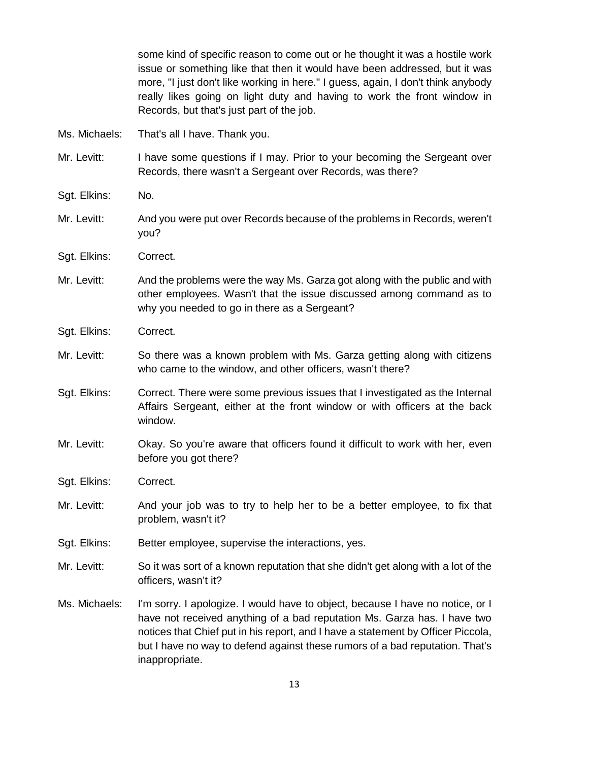|               | some kind of specific reason to come out or he thought it was a hostile work<br>issue or something like that then it would have been addressed, but it was<br>more, "I just don't like working in here." I guess, again, I don't think anybody<br>really likes going on light duty and having to work the front window in<br>Records, but that's just part of the job. |
|---------------|------------------------------------------------------------------------------------------------------------------------------------------------------------------------------------------------------------------------------------------------------------------------------------------------------------------------------------------------------------------------|
| Ms. Michaels: | That's all I have. Thank you.                                                                                                                                                                                                                                                                                                                                          |
| Mr. Levitt:   | I have some questions if I may. Prior to your becoming the Sergeant over<br>Records, there wasn't a Sergeant over Records, was there?                                                                                                                                                                                                                                  |
| Sgt. Elkins:  | No.                                                                                                                                                                                                                                                                                                                                                                    |
| Mr. Levitt:   | And you were put over Records because of the problems in Records, weren't<br>you?                                                                                                                                                                                                                                                                                      |
| Sgt. Elkins:  | Correct.                                                                                                                                                                                                                                                                                                                                                               |
| Mr. Levitt:   | And the problems were the way Ms. Garza got along with the public and with<br>other employees. Wasn't that the issue discussed among command as to<br>why you needed to go in there as a Sergeant?                                                                                                                                                                     |
| Sgt. Elkins:  | Correct.                                                                                                                                                                                                                                                                                                                                                               |
| Mr. Levitt:   | So there was a known problem with Ms. Garza getting along with citizens<br>who came to the window, and other officers, wasn't there?                                                                                                                                                                                                                                   |
| Sgt. Elkins:  | Correct. There were some previous issues that I investigated as the Internal<br>Affairs Sergeant, either at the front window or with officers at the back<br>window.                                                                                                                                                                                                   |
| Mr. Levitt:   | Okay. So you're aware that officers found it difficult to work with her, even<br>before you got there?                                                                                                                                                                                                                                                                 |
| Sgt. Elkins:  | Correct.                                                                                                                                                                                                                                                                                                                                                               |
| Mr. Levitt:   | And your job was to try to help her to be a better employee, to fix that<br>problem, wasn't it?                                                                                                                                                                                                                                                                        |
| Sgt. Elkins:  | Better employee, supervise the interactions, yes.                                                                                                                                                                                                                                                                                                                      |
| Mr. Levitt:   | So it was sort of a known reputation that she didn't get along with a lot of the<br>officers, wasn't it?                                                                                                                                                                                                                                                               |
| Ms. Michaels: | I'm sorry. I apologize. I would have to object, because I have no notice, or I<br>have not received anything of a bad reputation Ms. Garza has. I have two<br>notices that Chief put in his report, and I have a statement by Officer Piccola,<br>but I have no way to defend against these rumors of a bad reputation. That's<br>inappropriate.                       |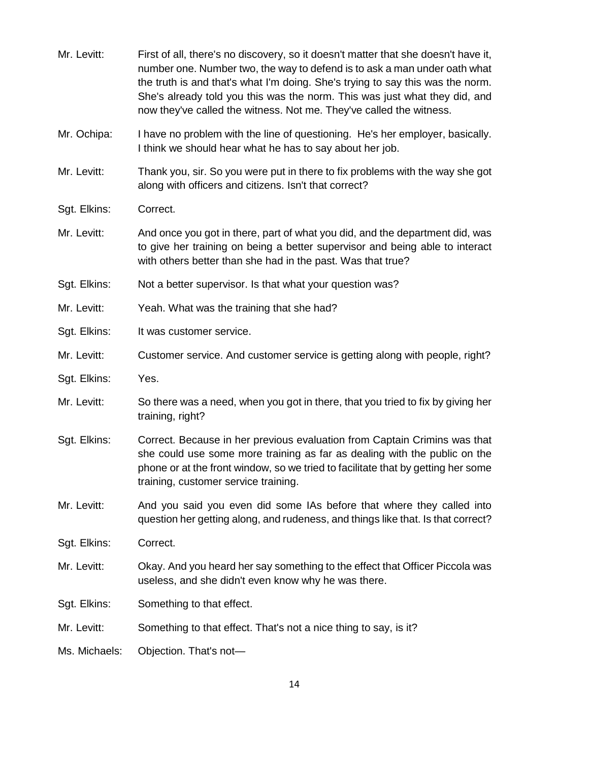| Mr. Levitt:   | First of all, there's no discovery, so it doesn't matter that she doesn't have it,<br>number one. Number two, the way to defend is to ask a man under oath what<br>the truth is and that's what I'm doing. She's trying to say this was the norm.<br>She's already told you this was the norm. This was just what they did, and<br>now they've called the witness. Not me. They've called the witness. |
|---------------|--------------------------------------------------------------------------------------------------------------------------------------------------------------------------------------------------------------------------------------------------------------------------------------------------------------------------------------------------------------------------------------------------------|
| Mr. Ochipa:   | I have no problem with the line of questioning. He's her employer, basically.<br>I think we should hear what he has to say about her job.                                                                                                                                                                                                                                                              |
| Mr. Levitt:   | Thank you, sir. So you were put in there to fix problems with the way she got<br>along with officers and citizens. Isn't that correct?                                                                                                                                                                                                                                                                 |
| Sgt. Elkins:  | Correct.                                                                                                                                                                                                                                                                                                                                                                                               |
| Mr. Levitt:   | And once you got in there, part of what you did, and the department did, was<br>to give her training on being a better supervisor and being able to interact<br>with others better than she had in the past. Was that true?                                                                                                                                                                            |
| Sgt. Elkins:  | Not a better supervisor. Is that what your question was?                                                                                                                                                                                                                                                                                                                                               |
| Mr. Levitt:   | Yeah. What was the training that she had?                                                                                                                                                                                                                                                                                                                                                              |
| Sgt. Elkins:  | It was customer service.                                                                                                                                                                                                                                                                                                                                                                               |
| Mr. Levitt:   | Customer service. And customer service is getting along with people, right?                                                                                                                                                                                                                                                                                                                            |
| Sgt. Elkins:  | Yes.                                                                                                                                                                                                                                                                                                                                                                                                   |
| Mr. Levitt:   | So there was a need, when you got in there, that you tried to fix by giving her<br>training, right?                                                                                                                                                                                                                                                                                                    |
| Sgt. Elkins:  | Correct. Because in her previous evaluation from Captain Crimins was that<br>she could use some more training as far as dealing with the public on the<br>phone or at the front window, so we tried to facilitate that by getting her some<br>training, customer service training.                                                                                                                     |
| Mr. Levitt:   | And you said you even did some IAs before that where they called into<br>question her getting along, and rudeness, and things like that. Is that correct?                                                                                                                                                                                                                                              |
| Sgt. Elkins:  | Correct.                                                                                                                                                                                                                                                                                                                                                                                               |
| Mr. Levitt:   | Okay. And you heard her say something to the effect that Officer Piccola was<br>useless, and she didn't even know why he was there.                                                                                                                                                                                                                                                                    |
| Sgt. Elkins:  | Something to that effect.                                                                                                                                                                                                                                                                                                                                                                              |
| Mr. Levitt:   | Something to that effect. That's not a nice thing to say, is it?                                                                                                                                                                                                                                                                                                                                       |
| Ms. Michaels: | Objection. That's not-                                                                                                                                                                                                                                                                                                                                                                                 |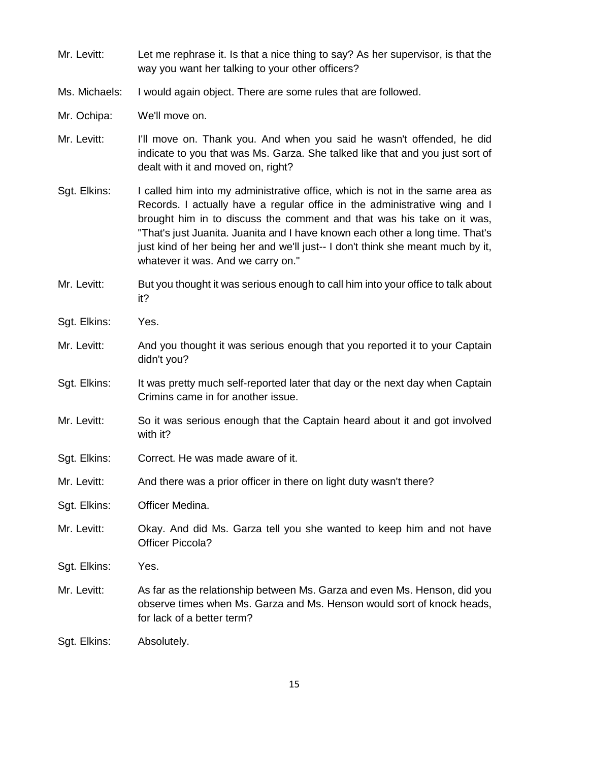| Mr. Levitt:   | Let me rephrase it. Is that a nice thing to say? As her supervisor, is that the<br>way you want her talking to your other officers?                                                                                                                                                                                                                                                                                                            |
|---------------|------------------------------------------------------------------------------------------------------------------------------------------------------------------------------------------------------------------------------------------------------------------------------------------------------------------------------------------------------------------------------------------------------------------------------------------------|
| Ms. Michaels: | I would again object. There are some rules that are followed.                                                                                                                                                                                                                                                                                                                                                                                  |
| Mr. Ochipa:   | We'll move on.                                                                                                                                                                                                                                                                                                                                                                                                                                 |
| Mr. Levitt:   | I'll move on. Thank you. And when you said he wasn't offended, he did<br>indicate to you that was Ms. Garza. She talked like that and you just sort of<br>dealt with it and moved on, right?                                                                                                                                                                                                                                                   |
| Sgt. Elkins:  | I called him into my administrative office, which is not in the same area as<br>Records. I actually have a regular office in the administrative wing and I<br>brought him in to discuss the comment and that was his take on it was,<br>"That's just Juanita. Juanita and I have known each other a long time. That's<br>just kind of her being her and we'll just-- I don't think she meant much by it,<br>whatever it was. And we carry on." |
| Mr. Levitt:   | But you thought it was serious enough to call him into your office to talk about<br>it?                                                                                                                                                                                                                                                                                                                                                        |
| Sgt. Elkins:  | Yes.                                                                                                                                                                                                                                                                                                                                                                                                                                           |
| Mr. Levitt:   | And you thought it was serious enough that you reported it to your Captain<br>didn't you?                                                                                                                                                                                                                                                                                                                                                      |
| Sgt. Elkins:  | It was pretty much self-reported later that day or the next day when Captain<br>Crimins came in for another issue.                                                                                                                                                                                                                                                                                                                             |
| Mr. Levitt:   | So it was serious enough that the Captain heard about it and got involved<br>with it?                                                                                                                                                                                                                                                                                                                                                          |
| Sgt. Elkins:  | Correct. He was made aware of it.                                                                                                                                                                                                                                                                                                                                                                                                              |
| Mr. Levitt:   | And there was a prior officer in there on light duty wasn't there?                                                                                                                                                                                                                                                                                                                                                                             |
| Sgt. Elkins:  | Officer Medina.                                                                                                                                                                                                                                                                                                                                                                                                                                |
| Mr. Levitt:   | Okay. And did Ms. Garza tell you she wanted to keep him and not have<br><b>Officer Piccola?</b>                                                                                                                                                                                                                                                                                                                                                |
| Sgt. Elkins:  | Yes.                                                                                                                                                                                                                                                                                                                                                                                                                                           |
| Mr. Levitt:   | As far as the relationship between Ms. Garza and even Ms. Henson, did you<br>observe times when Ms. Garza and Ms. Henson would sort of knock heads,<br>for lack of a better term?                                                                                                                                                                                                                                                              |
| Sgt. Elkins:  | Absolutely.                                                                                                                                                                                                                                                                                                                                                                                                                                    |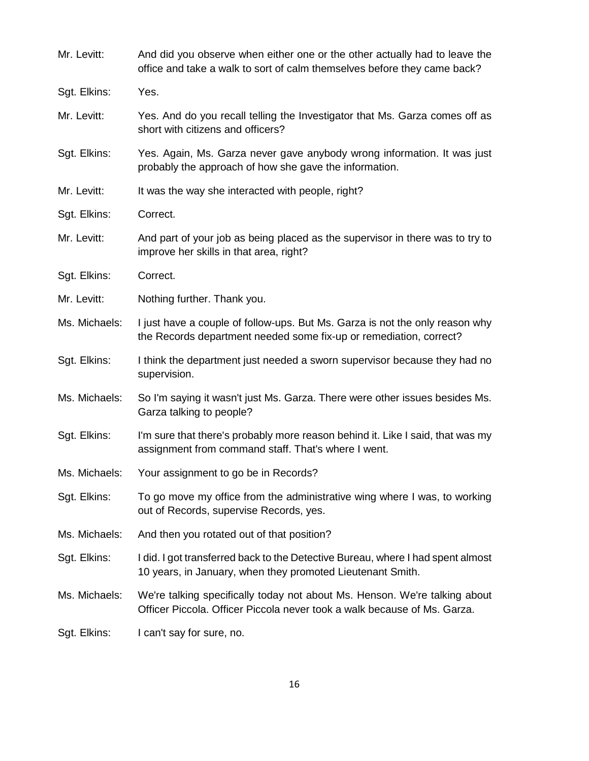| Mr. Levitt:   | And did you observe when either one or the other actually had to leave the<br>office and take a walk to sort of calm themselves before they came back? |
|---------------|--------------------------------------------------------------------------------------------------------------------------------------------------------|
| Sgt. Elkins:  | Yes.                                                                                                                                                   |
| Mr. Levitt:   | Yes. And do you recall telling the Investigator that Ms. Garza comes off as<br>short with citizens and officers?                                       |
| Sgt. Elkins:  | Yes. Again, Ms. Garza never gave anybody wrong information. It was just<br>probably the approach of how she gave the information.                      |
| Mr. Levitt:   | It was the way she interacted with people, right?                                                                                                      |
| Sgt. Elkins:  | Correct.                                                                                                                                               |
| Mr. Levitt:   | And part of your job as being placed as the supervisor in there was to try to<br>improve her skills in that area, right?                               |
| Sgt. Elkins:  | Correct.                                                                                                                                               |
| Mr. Levitt:   | Nothing further. Thank you.                                                                                                                            |
| Ms. Michaels: | I just have a couple of follow-ups. But Ms. Garza is not the only reason why<br>the Records department needed some fix-up or remediation, correct?     |
| Sgt. Elkins:  | I think the department just needed a sworn supervisor because they had no<br>supervision.                                                              |
| Ms. Michaels: | So I'm saying it wasn't just Ms. Garza. There were other issues besides Ms.<br>Garza talking to people?                                                |
| Sgt. Elkins:  | I'm sure that there's probably more reason behind it. Like I said, that was my<br>assignment from command staff. That's where I went.                  |
| Ms. Michaels: | Your assignment to go be in Records?                                                                                                                   |
| Sgt. Elkins:  | To go move my office from the administrative wing where I was, to working<br>out of Records, supervise Records, yes.                                   |
| Ms. Michaels: | And then you rotated out of that position?                                                                                                             |
| Sgt. Elkins:  | I did. I got transferred back to the Detective Bureau, where I had spent almost<br>10 years, in January, when they promoted Lieutenant Smith.          |
| Ms. Michaels: | We're talking specifically today not about Ms. Henson. We're talking about<br>Officer Piccola. Officer Piccola never took a walk because of Ms. Garza. |
| Sgt. Elkins:  | I can't say for sure, no.                                                                                                                              |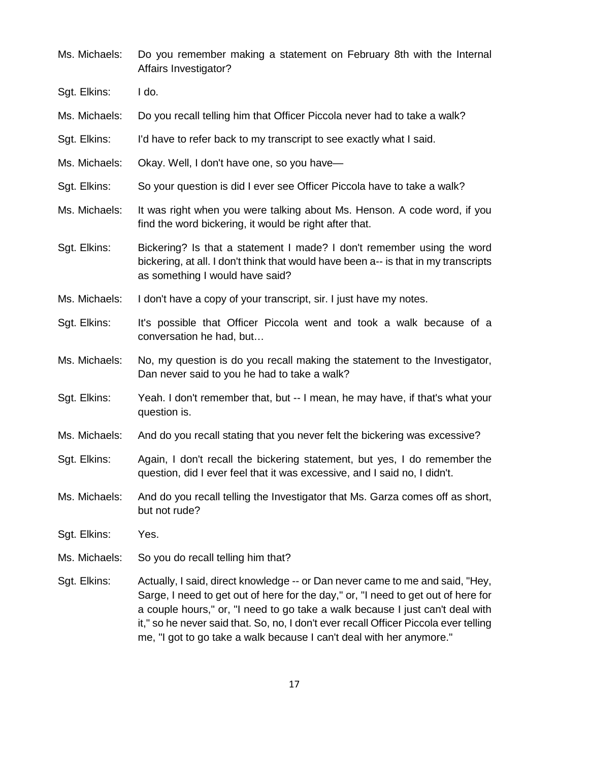| Ms. Michaels: | Do you remember making a statement on February 8th with the Internal<br>Affairs Investigator?                                                                                                                                                                                                                                                                                                                       |
|---------------|---------------------------------------------------------------------------------------------------------------------------------------------------------------------------------------------------------------------------------------------------------------------------------------------------------------------------------------------------------------------------------------------------------------------|
| Sgt. Elkins:  | I do.                                                                                                                                                                                                                                                                                                                                                                                                               |
| Ms. Michaels: | Do you recall telling him that Officer Piccola never had to take a walk?                                                                                                                                                                                                                                                                                                                                            |
| Sgt. Elkins:  | I'd have to refer back to my transcript to see exactly what I said.                                                                                                                                                                                                                                                                                                                                                 |
| Ms. Michaels: | Okay. Well, I don't have one, so you have-                                                                                                                                                                                                                                                                                                                                                                          |
| Sgt. Elkins:  | So your question is did I ever see Officer Piccola have to take a walk?                                                                                                                                                                                                                                                                                                                                             |
| Ms. Michaels: | It was right when you were talking about Ms. Henson. A code word, if you<br>find the word bickering, it would be right after that.                                                                                                                                                                                                                                                                                  |
| Sgt. Elkins:  | Bickering? Is that a statement I made? I don't remember using the word<br>bickering, at all. I don't think that would have been a-- is that in my transcripts<br>as something I would have said?                                                                                                                                                                                                                    |
| Ms. Michaels: | I don't have a copy of your transcript, sir. I just have my notes.                                                                                                                                                                                                                                                                                                                                                  |
| Sgt. Elkins:  | It's possible that Officer Piccola went and took a walk because of a<br>conversation he had, but                                                                                                                                                                                                                                                                                                                    |
| Ms. Michaels: | No, my question is do you recall making the statement to the Investigator,<br>Dan never said to you he had to take a walk?                                                                                                                                                                                                                                                                                          |
| Sgt. Elkins:  | Yeah. I don't remember that, but -- I mean, he may have, if that's what your<br>question is.                                                                                                                                                                                                                                                                                                                        |
| Ms. Michaels: | And do you recall stating that you never felt the bickering was excessive?                                                                                                                                                                                                                                                                                                                                          |
| Sgt. Elkins:  | Again, I don't recall the bickering statement, but yes, I do remember the<br>question, did I ever feel that it was excessive, and I said no, I didn't.                                                                                                                                                                                                                                                              |
| Ms. Michaels: | And do you recall telling the Investigator that Ms. Garza comes off as short,<br>but not rude?                                                                                                                                                                                                                                                                                                                      |
| Sgt. Elkins:  | Yes.                                                                                                                                                                                                                                                                                                                                                                                                                |
| Ms. Michaels: | So you do recall telling him that?                                                                                                                                                                                                                                                                                                                                                                                  |
| Sgt. Elkins:  | Actually, I said, direct knowledge -- or Dan never came to me and said, "Hey,<br>Sarge, I need to get out of here for the day," or, "I need to get out of here for<br>a couple hours," or, "I need to go take a walk because I just can't deal with<br>it," so he never said that. So, no, I don't ever recall Officer Piccola ever telling<br>me, "I got to go take a walk because I can't deal with her anymore." |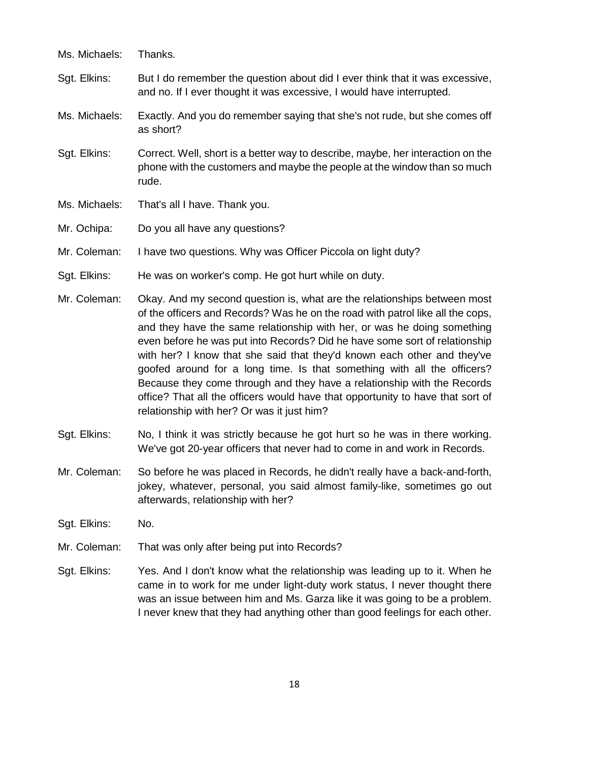| Ms. Michaels: | Thanks.                                                                                                                                                              |
|---------------|----------------------------------------------------------------------------------------------------------------------------------------------------------------------|
| Sgt. Elkins:  | But I do remember the question about did I ever think that it was excessive,<br>and no. If I ever thought it was excessive, I would have interrupted.                |
| Ms. Michaels: | Exactly. And you do remember saying that she's not rude, but she comes off<br>as short?                                                                              |
| Sgt. Elkins:  | Correct. Well, short is a better way to describe, maybe, her interaction on the<br>phone with the customers and maybe the people at the window than so much<br>rude. |
| Ms. Michaels: | That's all I have. Thank you.                                                                                                                                        |
| Mr. Ochipa:   | Do you all have any questions?                                                                                                                                       |
| Mr. Coleman:  | I have two questions. Why was Officer Piccola on light duty?                                                                                                         |

- Sgt. Elkins: He was on worker's comp. He got hurt while on duty.
- Mr. Coleman: Okay. And my second question is, what are the relationships between most of the officers and Records? Was he on the road with patrol like all the cops, and they have the same relationship with her, or was he doing something even before he was put into Records? Did he have some sort of relationship with her? I know that she said that they'd known each other and they've goofed around for a long time. Is that something with all the officers? Because they come through and they have a relationship with the Records office? That all the officers would have that opportunity to have that sort of relationship with her? Or was it just him?
- Sgt. Elkins: No, I think it was strictly because he got hurt so he was in there working. We've got 20-year officers that never had to come in and work in Records.
- Mr. Coleman: So before he was placed in Records, he didn't really have a back-and-forth, jokey, whatever, personal, you said almost family-like, sometimes go out afterwards, relationship with her?
- Sgt. Elkins: No.
- Mr. Coleman: That was only after being put into Records?
- Sgt. Elkins: Yes. And I don't know what the relationship was leading up to it. When he came in to work for me under light-duty work status, I never thought there was an issue between him and Ms. Garza like it was going to be a problem. I never knew that they had anything other than good feelings for each other.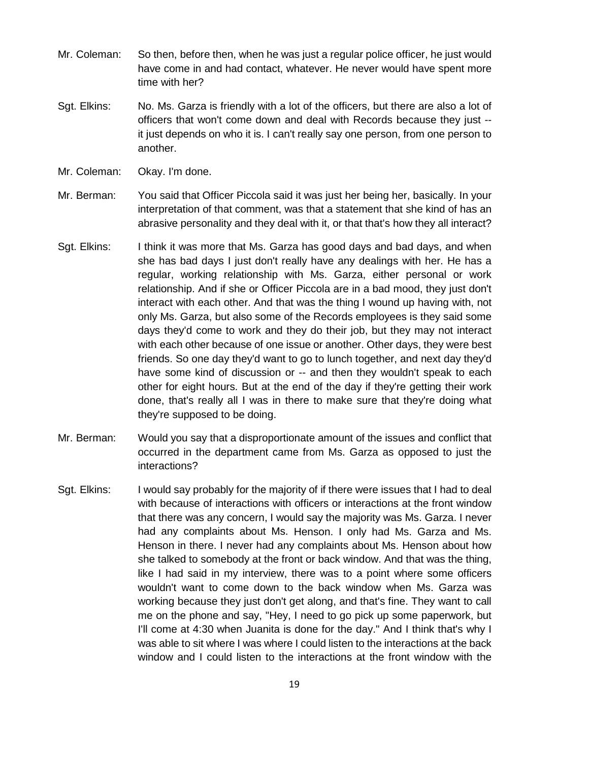- Mr. Coleman: So then, before then, when he was just a regular police officer, he just would have come in and had contact, whatever. He never would have spent more time with her?
- Sgt. Elkins: No. Ms. Garza is friendly with a lot of the officers, but there are also a lot of officers that won't come down and deal with Records because they just - it just depends on who it is. I can't really say one person, from one person to another.
- Mr. Coleman: Okay. I'm done.
- Mr. Berman: You said that Officer Piccola said it was just her being her, basically. In your interpretation of that comment, was that a statement that she kind of has an abrasive personality and they deal with it, or that that's how they all interact?
- Sgt. Elkins: I think it was more that Ms. Garza has good days and bad days, and when she has bad days I just don't really have any dealings with her. He has a regular, working relationship with Ms. Garza, either personal or work relationship. And if she or Officer Piccola are in a bad mood, they just don't interact with each other. And that was the thing I wound up having with, not only Ms. Garza, but also some of the Records employees is they said some days they'd come to work and they do their job, but they may not interact with each other because of one issue or another. Other days, they were best friends. So one day they'd want to go to lunch together, and next day they'd have some kind of discussion or -- and then they wouldn't speak to each other for eight hours. But at the end of the day if they're getting their work done, that's really all I was in there to make sure that they're doing what they're supposed to be doing.
- Mr. Berman: Would you say that a disproportionate amount of the issues and conflict that occurred in the department came from Ms. Garza as opposed to just the interactions?
- Sgt. Elkins: I would say probably for the majority of if there were issues that I had to deal with because of interactions with officers or interactions at the front window that there was any concern, I would say the majority was Ms. Garza. I never had any complaints about Ms. Henson. I only had Ms. Garza and Ms. Henson in there. I never had any complaints about Ms. Henson about how she talked to somebody at the front or back window. And that was the thing, like I had said in my interview, there was to a point where some officers wouldn't want to come down to the back window when Ms. Garza was working because they just don't get along, and that's fine. They want to call me on the phone and say, "Hey, I need to go pick up some paperwork, but I'll come at 4:30 when Juanita is done for the day." And I think that's why I was able to sit where I was where I could listen to the interactions at the back window and I could listen to the interactions at the front window with the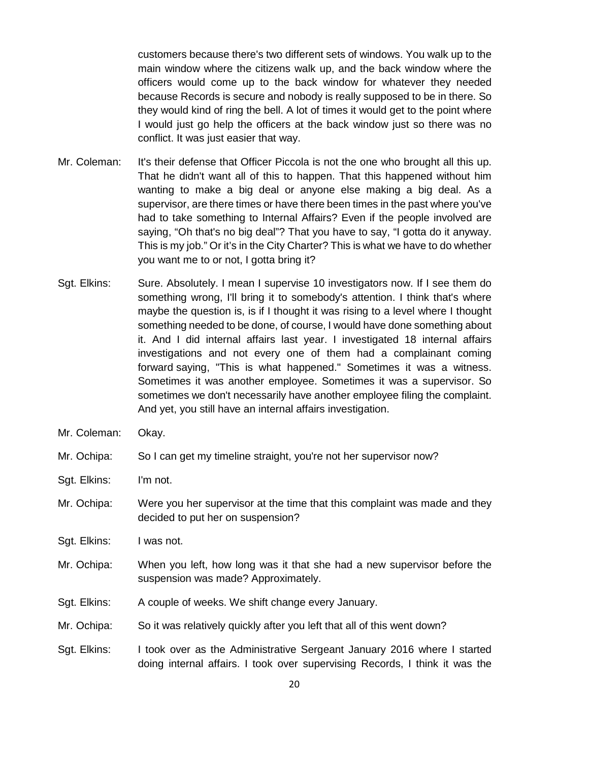customers because there's two different sets of windows. You walk up to the main window where the citizens walk up, and the back window where the officers would come up to the back window for whatever they needed because Records is secure and nobody is really supposed to be in there. So they would kind of ring the bell. A lot of times it would get to the point where I would just go help the officers at the back window just so there was no conflict. It was just easier that way.

- Mr. Coleman: It's their defense that Officer Piccola is not the one who brought all this up. That he didn't want all of this to happen. That this happened without him wanting to make a big deal or anyone else making a big deal. As a supervisor, are there times or have there been times in the past where you've had to take something to Internal Affairs? Even if the people involved are saying, "Oh that's no big deal"? That you have to say, "I gotta do it anyway. This is my job." Or it's in the City Charter? This is what we have to do whether you want me to or not, I gotta bring it?
- Sgt. Elkins: Sure. Absolutely. I mean I supervise 10 investigators now. If I see them do something wrong, I'll bring it to somebody's attention. I think that's where maybe the question is, is if I thought it was rising to a level where I thought something needed to be done, of course, I would have done something about it. And I did internal affairs last year. I investigated 18 internal affairs investigations and not every one of them had a complainant coming forward saying, "This is what happened." Sometimes it was a witness. Sometimes it was another employee. Sometimes it was a supervisor. So sometimes we don't necessarily have another employee filing the complaint. And yet, you still have an internal affairs investigation.
- Mr. Coleman: Okay.

Mr. Ochipa: So I can get my timeline straight, you're not her supervisor now?

- Sgt. Elkins: I'm not.
- Mr. Ochipa: Were you her supervisor at the time that this complaint was made and they decided to put her on suspension?
- Sgt. Elkins: I was not.
- Mr. Ochipa: When you left, how long was it that she had a new supervisor before the suspension was made? Approximately.
- Sgt. Elkins: A couple of weeks. We shift change every January.
- Mr. Ochipa: So it was relatively quickly after you left that all of this went down?
- Sgt. Elkins: I took over as the Administrative Sergeant January 2016 where I started doing internal affairs. I took over supervising Records, I think it was the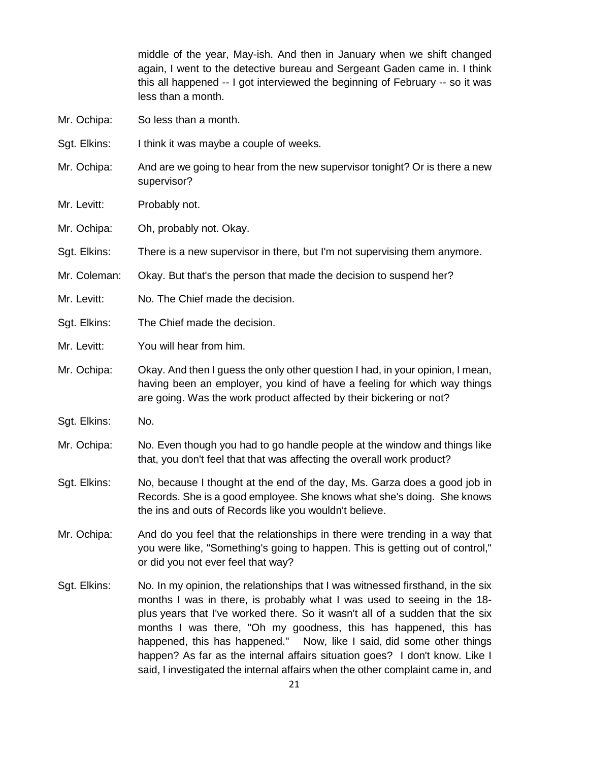middle of the year, May-ish. And then in January when we shift changed again, I went to the detective bureau and Sergeant Gaden came in. I think this all happened -- I got interviewed the beginning of February -- so it was less than a month.

- Mr. Ochipa: So less than a month.
- Sgt. Elkins: I think it was maybe a couple of weeks.
- Mr. Ochipa: And are we going to hear from the new supervisor tonight? Or is there a new supervisor?
- Mr. Levitt: Probably not.
- Mr. Ochipa: Oh, probably not. Okay.
- Sgt. Elkins: There is a new supervisor in there, but I'm not supervising them anymore.
- Mr. Coleman: Okay. But that's the person that made the decision to suspend her?
- Mr. Levitt: No. The Chief made the decision.
- Sgt. Elkins: The Chief made the decision.
- Mr. Levitt: You will hear from him.
- Mr. Ochipa: Okay. And then I guess the only other question I had, in your opinion, I mean, having been an employer, you kind of have a feeling for which way things are going. Was the work product affected by their bickering or not?
- Sgt. Elkins: No.
- Mr. Ochipa: No. Even though you had to go handle people at the window and things like that, you don't feel that that was affecting the overall work product?
- Sgt. Elkins: No, because I thought at the end of the day, Ms. Garza does a good job in Records. She is a good employee. She knows what she's doing. She knows the ins and outs of Records like you wouldn't believe.
- Mr. Ochipa: And do you feel that the relationships in there were trending in a way that you were like, "Something's going to happen. This is getting out of control," or did you not ever feel that way?
- Sgt. Elkins: No. In my opinion, the relationships that I was witnessed firsthand, in the six months I was in there, is probably what I was used to seeing in the 18 plus years that I've worked there. So it wasn't all of a sudden that the six months I was there, "Oh my goodness, this has happened, this has happened, this has happened." Now, like I said, did some other things happen? As far as the internal affairs situation goes? I don't know. Like I said, I investigated the internal affairs when the other complaint came in, and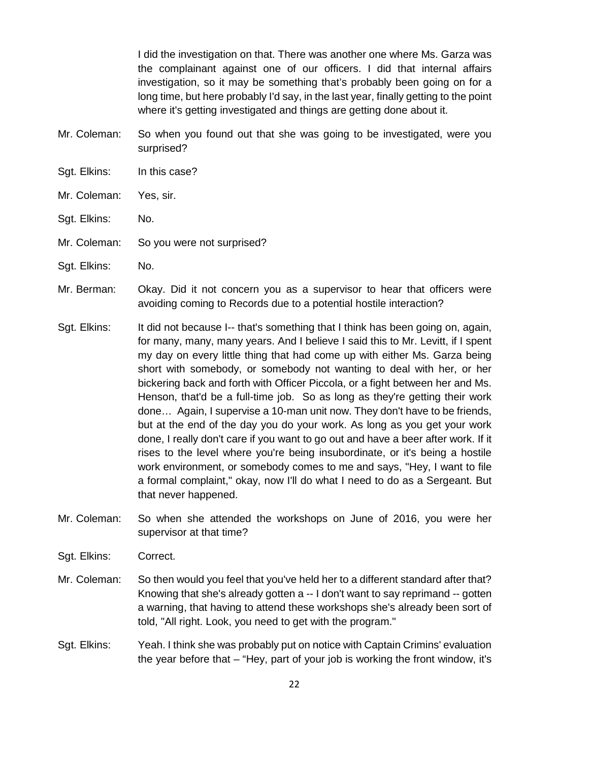I did the investigation on that. There was another one where Ms. Garza was the complainant against one of our officers. I did that internal affairs investigation, so it may be something that's probably been going on for a long time, but here probably I'd say, in the last year, finally getting to the point where it's getting investigated and things are getting done about it.

- Mr. Coleman: So when you found out that she was going to be investigated, were you surprised?
- Sgt. Elkins: In this case?
- Mr. Coleman: Yes, sir.
- Sgt. Elkins: No.
- Mr. Coleman: So you were not surprised?
- Sgt. Elkins: No.
- Mr. Berman: Okay. Did it not concern you as a supervisor to hear that officers were avoiding coming to Records due to a potential hostile interaction?
- Sgt. Elkins: It did not because I-- that's something that I think has been going on, again, for many, many, many years. And I believe I said this to Mr. Levitt, if I spent my day on every little thing that had come up with either Ms. Garza being short with somebody, or somebody not wanting to deal with her, or her bickering back and forth with Officer Piccola, or a fight between her and Ms. Henson, that'd be a full-time job. So as long as they're getting their work done… Again, I supervise a 10-man unit now. They don't have to be friends, but at the end of the day you do your work. As long as you get your work done, I really don't care if you want to go out and have a beer after work. If it rises to the level where you're being insubordinate, or it's being a hostile work environment, or somebody comes to me and says, "Hey, I want to file a formal complaint," okay, now I'll do what I need to do as a Sergeant. But that never happened.
- Mr. Coleman: So when she attended the workshops on June of 2016, you were her supervisor at that time?
- Sgt. Elkins: Correct.
- Mr. Coleman: So then would you feel that you've held her to a different standard after that? Knowing that she's already gotten a -- I don't want to say reprimand -- gotten a warning, that having to attend these workshops she's already been sort of told, "All right. Look, you need to get with the program."
- Sgt. Elkins: Yeah. I think she was probably put on notice with Captain Crimins' evaluation the year before that – "Hey, part of your job is working the front window, it's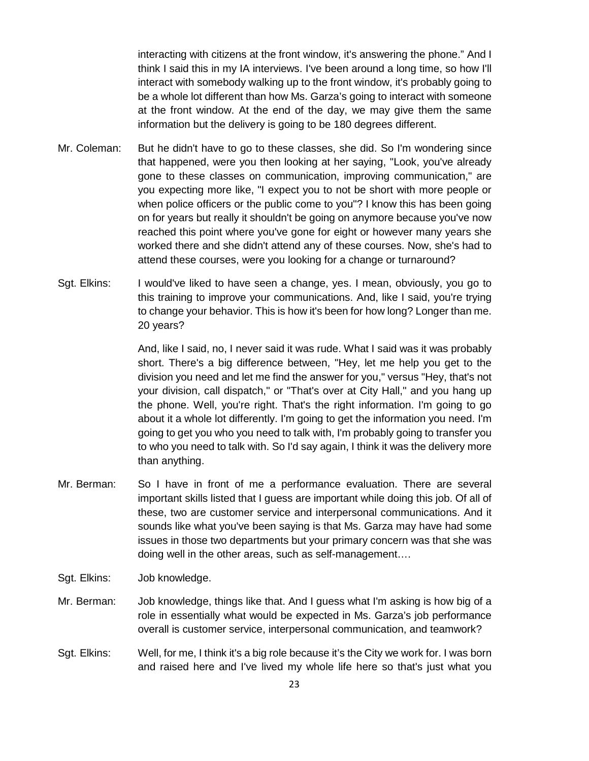interacting with citizens at the front window, it's answering the phone." And I think I said this in my IA interviews. I've been around a long time, so how I'll interact with somebody walking up to the front window, it's probably going to be a whole lot different than how Ms. Garza's going to interact with someone at the front window. At the end of the day, we may give them the same information but the delivery is going to be 180 degrees different.

- Mr. Coleman: But he didn't have to go to these classes, she did. So I'm wondering since that happened, were you then looking at her saying, "Look, you've already gone to these classes on communication, improving communication," are you expecting more like, "I expect you to not be short with more people or when police officers or the public come to you"? I know this has been going on for years but really it shouldn't be going on anymore because you've now reached this point where you've gone for eight or however many years she worked there and she didn't attend any of these courses. Now, she's had to attend these courses, were you looking for a change or turnaround?
- Sgt. Elkins: I would've liked to have seen a change, yes. I mean, obviously, you go to this training to improve your communications. And, like I said, you're trying to change your behavior. This is how it's been for how long? Longer than me. 20 years?

And, like I said, no, I never said it was rude. What I said was it was probably short. There's a big difference between, "Hey, let me help you get to the division you need and let me find the answer for you," versus "Hey, that's not your division, call dispatch," or "That's over at City Hall," and you hang up the phone. Well, you're right. That's the right information. I'm going to go about it a whole lot differently. I'm going to get the information you need. I'm going to get you who you need to talk with, I'm probably going to transfer you to who you need to talk with. So I'd say again, I think it was the delivery more than anything.

- Mr. Berman: So I have in front of me a performance evaluation. There are several important skills listed that I guess are important while doing this job. Of all of these, two are customer service and interpersonal communications. And it sounds like what you've been saying is that Ms. Garza may have had some issues in those two departments but your primary concern was that she was doing well in the other areas, such as self-management….
- Sgt. Elkins: Job knowledge.
- Mr. Berman: Job knowledge, things like that. And I guess what I'm asking is how big of a role in essentially what would be expected in Ms. Garza's job performance overall is customer service, interpersonal communication, and teamwork?
- Sgt. Elkins: Well, for me, I think it's a big role because it's the City we work for. I was born and raised here and I've lived my whole life here so that's just what you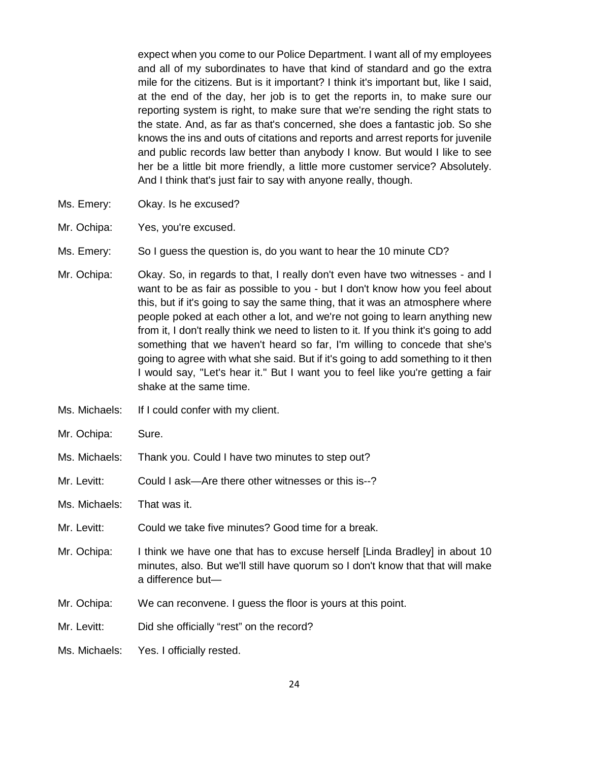expect when you come to our Police Department. I want all of my employees and all of my subordinates to have that kind of standard and go the extra mile for the citizens. But is it important? I think it's important but, like I said, at the end of the day, her job is to get the reports in, to make sure our reporting system is right, to make sure that we're sending the right stats to the state. And, as far as that's concerned, she does a fantastic job. So she knows the ins and outs of citations and reports and arrest reports for juvenile and public records law better than anybody I know. But would I like to see her be a little bit more friendly, a little more customer service? Absolutely. And I think that's just fair to say with anyone really, though.

- Ms. Emery: Okay. Is he excused?
- Mr. Ochipa: Yes, you're excused.
- Ms. Emery: So I guess the question is, do you want to hear the 10 minute CD?
- Mr. Ochipa: Okay. So, in regards to that, I really don't even have two witnesses and I want to be as fair as possible to you - but I don't know how you feel about this, but if it's going to say the same thing, that it was an atmosphere where people poked at each other a lot, and we're not going to learn anything new from it, I don't really think we need to listen to it. If you think it's going to add something that we haven't heard so far, I'm willing to concede that she's going to agree with what she said. But if it's going to add something to it then I would say, "Let's hear it." But I want you to feel like you're getting a fair shake at the same time.
- Ms. Michaels: If I could confer with my client.
- Mr. Ochipa: Sure.
- Ms. Michaels: Thank you. Could I have two minutes to step out?
- Mr. Levitt: Could I ask—Are there other witnesses or this is--?
- Ms. Michaels: That was it.
- Mr. Levitt: Could we take five minutes? Good time for a break.
- Mr. Ochipa: I think we have one that has to excuse herself [Linda Bradley] in about 10 minutes, also. But we'll still have quorum so I don't know that that will make a difference but—
- Mr. Ochipa: We can reconvene. I guess the floor is yours at this point.
- Mr. Levitt: Did she officially "rest" on the record?
- Ms. Michaels: Yes. I officially rested.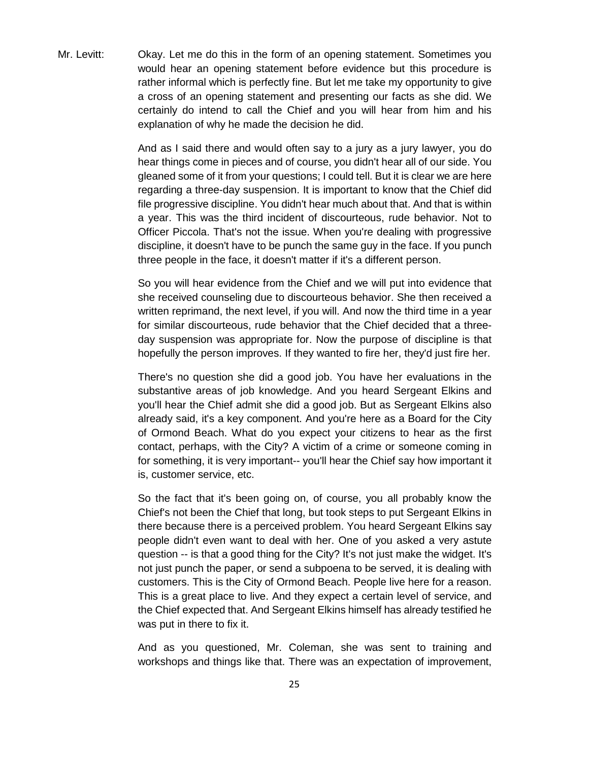Mr. Levitt: Okay. Let me do this in the form of an opening statement. Sometimes you would hear an opening statement before evidence but this procedure is rather informal which is perfectly fine. But let me take my opportunity to give a cross of an opening statement and presenting our facts as she did. We certainly do intend to call the Chief and you will hear from him and his explanation of why he made the decision he did.

> And as I said there and would often say to a jury as a jury lawyer, you do hear things come in pieces and of course, you didn't hear all of our side. You gleaned some of it from your questions; I could tell. But it is clear we are here regarding a three-day suspension. It is important to know that the Chief did file progressive discipline. You didn't hear much about that. And that is within a year. This was the third incident of discourteous, rude behavior. Not to Officer Piccola. That's not the issue. When you're dealing with progressive discipline, it doesn't have to be punch the same guy in the face. If you punch three people in the face, it doesn't matter if it's a different person.

> So you will hear evidence from the Chief and we will put into evidence that she received counseling due to discourteous behavior. She then received a written reprimand, the next level, if you will. And now the third time in a year for similar discourteous, rude behavior that the Chief decided that a threeday suspension was appropriate for. Now the purpose of discipline is that hopefully the person improves. If they wanted to fire her, they'd just fire her.

> There's no question she did a good job. You have her evaluations in the substantive areas of job knowledge. And you heard Sergeant Elkins and you'll hear the Chief admit she did a good job. But as Sergeant Elkins also already said, it's a key component. And you're here as a Board for the City of Ormond Beach. What do you expect your citizens to hear as the first contact, perhaps, with the City? A victim of a crime or someone coming in for something, it is very important-- you'll hear the Chief say how important it is, customer service, etc.

> So the fact that it's been going on, of course, you all probably know the Chief's not been the Chief that long, but took steps to put Sergeant Elkins in there because there is a perceived problem. You heard Sergeant Elkins say people didn't even want to deal with her. One of you asked a very astute question -- is that a good thing for the City? It's not just make the widget. It's not just punch the paper, or send a subpoena to be served, it is dealing with customers. This is the City of Ormond Beach. People live here for a reason. This is a great place to live. And they expect a certain level of service, and the Chief expected that. And Sergeant Elkins himself has already testified he was put in there to fix it.

> And as you questioned, Mr. Coleman, she was sent to training and workshops and things like that. There was an expectation of improvement,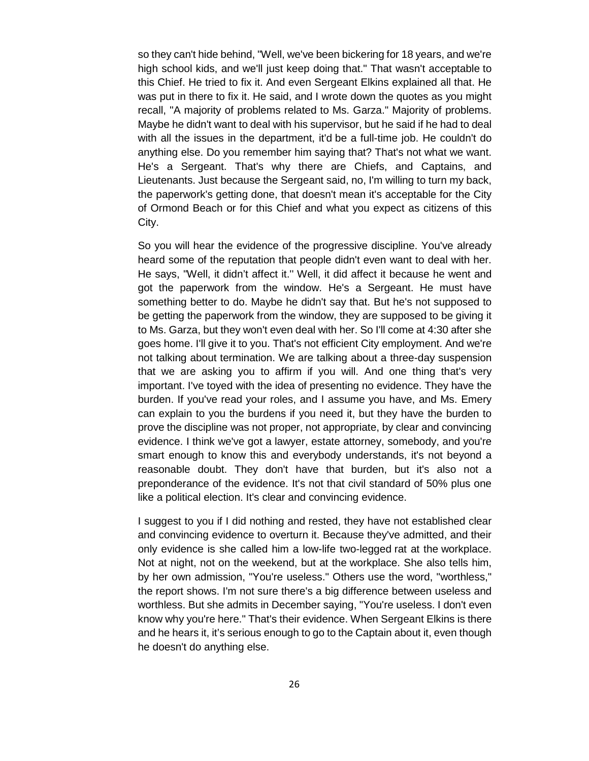so they can't hide behind, "Well, we've been bickering for 18 years, and we're high school kids, and we'll just keep doing that." That wasn't acceptable to this Chief. He tried to fix it. And even Sergeant Elkins explained all that. He was put in there to fix it. He said, and I wrote down the quotes as you might recall, "A majority of problems related to Ms. Garza." Majority of problems. Maybe he didn't want to deal with his supervisor, but he said if he had to deal with all the issues in the department, it'd be a full-time job. He couldn't do anything else. Do you remember him saying that? That's not what we want. He's a Sergeant. That's why there are Chiefs, and Captains, and Lieutenants. Just because the Sergeant said, no, I'm willing to turn my back, the paperwork's getting done, that doesn't mean it's acceptable for the City of Ormond Beach or for this Chief and what you expect as citizens of this City.

So you will hear the evidence of the progressive discipline. You've already heard some of the reputation that people didn't even want to deal with her. He says, "Well, it didn't affect it.'' Well, it did affect it because he went and got the paperwork from the window. He's a Sergeant. He must have something better to do. Maybe he didn't say that. But he's not supposed to be getting the paperwork from the window, they are supposed to be giving it to Ms. Garza, but they won't even deal with her. So I'll come at 4:30 after she goes home. I'll give it to you. That's not efficient City employment. And we're not talking about termination. We are talking about a three-day suspension that we are asking you to affirm if you will. And one thing that's very important. I've toyed with the idea of presenting no evidence. They have the burden. If you've read your roles, and I assume you have, and Ms. Emery can explain to you the burdens if you need it, but they have the burden to prove the discipline was not proper, not appropriate, by clear and convincing evidence. I think we've got a lawyer, estate attorney, somebody, and you're smart enough to know this and everybody understands, it's not beyond a reasonable doubt. They don't have that burden, but it's also not a preponderance of the evidence. It's not that civil standard of 50% plus one like a political election. It's clear and convincing evidence.

I suggest to you if I did nothing and rested, they have not established clear and convincing evidence to overturn it. Because they've admitted, and their only evidence is she called him a low-life two-legged rat at the workplace. Not at night, not on the weekend, but at the workplace. She also tells him, by her own admission, "You're useless." Others use the word, "worthless," the report shows. I'm not sure there's a big difference between useless and worthless. But she admits in December saying, "You're useless. I don't even know why you're here." That's their evidence. When Sergeant Elkins is there and he hears it, it's serious enough to go to the Captain about it, even though he doesn't do anything else.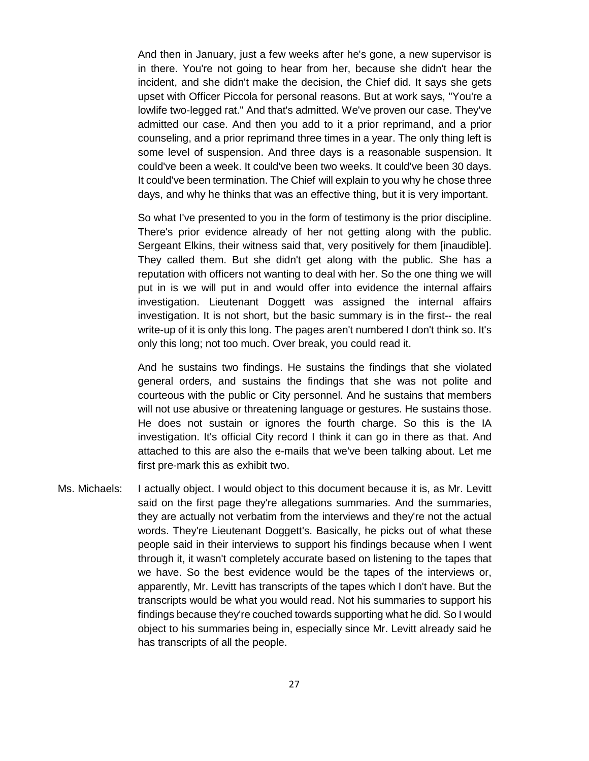And then in January, just a few weeks after he's gone, a new supervisor is in there. You're not going to hear from her, because she didn't hear the incident, and she didn't make the decision, the Chief did. It says she gets upset with Officer Piccola for personal reasons. But at work says, "You're a lowlife two-legged rat." And that's admitted. We've proven our case. They've admitted our case. And then you add to it a prior reprimand, and a prior counseling, and a prior reprimand three times in a year. The only thing left is some level of suspension. And three days is a reasonable suspension. It could've been a week. It could've been two weeks. It could've been 30 days. It could've been termination. The Chief will explain to you why he chose three days, and why he thinks that was an effective thing, but it is very important.

So what I've presented to you in the form of testimony is the prior discipline. There's prior evidence already of her not getting along with the public. Sergeant Elkins, their witness said that, very positively for them [inaudible]. They called them. But she didn't get along with the public. She has a reputation with officers not wanting to deal with her. So the one thing we will put in is we will put in and would offer into evidence the internal affairs investigation. Lieutenant Doggett was assigned the internal affairs investigation. It is not short, but the basic summary is in the first-- the real write-up of it is only this long. The pages aren't numbered I don't think so. It's only this long; not too much. Over break, you could read it.

And he sustains two findings. He sustains the findings that she violated general orders, and sustains the findings that she was not polite and courteous with the public or City personnel. And he sustains that members will not use abusive or threatening language or gestures. He sustains those. He does not sustain or ignores the fourth charge. So this is the IA investigation. It's official City record I think it can go in there as that. And attached to this are also the e-mails that we've been talking about. Let me first pre-mark this as exhibit two.

Ms. Michaels: I actually object. I would object to this document because it is, as Mr. Levitt said on the first page they're allegations summaries. And the summaries, they are actually not verbatim from the interviews and they're not the actual words. They're Lieutenant Doggett's. Basically, he picks out of what these people said in their interviews to support his findings because when I went through it, it wasn't completely accurate based on listening to the tapes that we have. So the best evidence would be the tapes of the interviews or, apparently, Mr. Levitt has transcripts of the tapes which I don't have. But the transcripts would be what you would read. Not his summaries to support his findings because they're couched towards supporting what he did. So I would object to his summaries being in, especially since Mr. Levitt already said he has transcripts of all the people.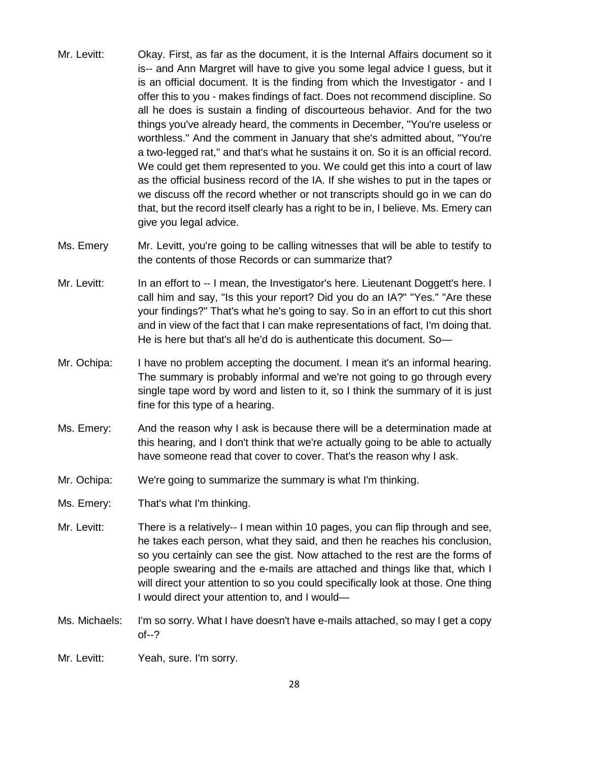- Mr. Levitt: Okay. First, as far as the document, it is the Internal Affairs document so it is-- and Ann Margret will have to give you some legal advice I guess, but it is an official document. It is the finding from which the Investigator - and I offer this to you - makes findings of fact. Does not recommend discipline. So all he does is sustain a finding of discourteous behavior. And for the two things you've already heard, the comments in December, "You're useless or worthless." And the comment in January that she's admitted about, "You're a two-legged rat," and that's what he sustains it on. So it is an official record. We could get them represented to you. We could get this into a court of law as the official business record of the IA. If she wishes to put in the tapes or we discuss off the record whether or not transcripts should go in we can do that, but the record itself clearly has a right to be in, I believe. Ms. Emery can give you legal advice.
- Ms. Emery Mr. Levitt, you're going to be calling witnesses that will be able to testify to the contents of those Records or can summarize that?
- Mr. Levitt: In an effort to -- I mean, the Investigator's here. Lieutenant Doggett's here. I call him and say, "Is this your report? Did you do an IA?" "Yes." "Are these your findings?" That's what he's going to say. So in an effort to cut this short and in view of the fact that I can make representations of fact, I'm doing that. He is here but that's all he'd do is authenticate this document. So—
- Mr. Ochipa: I have no problem accepting the document. I mean it's an informal hearing. The summary is probably informal and we're not going to go through every single tape word by word and listen to it, so I think the summary of it is just fine for this type of a hearing.
- Ms. Emery: And the reason why I ask is because there will be a determination made at this hearing, and I don't think that we're actually going to be able to actually have someone read that cover to cover. That's the reason why I ask.
- Mr. Ochipa: We're going to summarize the summary is what I'm thinking.
- Ms. Emery: That's what I'm thinking.
- Mr. Levitt: There is a relatively-- I mean within 10 pages, you can flip through and see, he takes each person, what they said, and then he reaches his conclusion, so you certainly can see the gist. Now attached to the rest are the forms of people swearing and the e-mails are attached and things like that, which I will direct your attention to so you could specifically look at those. One thing I would direct your attention to, and I would—
- Ms. Michaels: I'm so sorry. What I have doesn't have e-mails attached, so may I get a copy of--?
- Mr. Levitt: Yeah, sure. I'm sorry.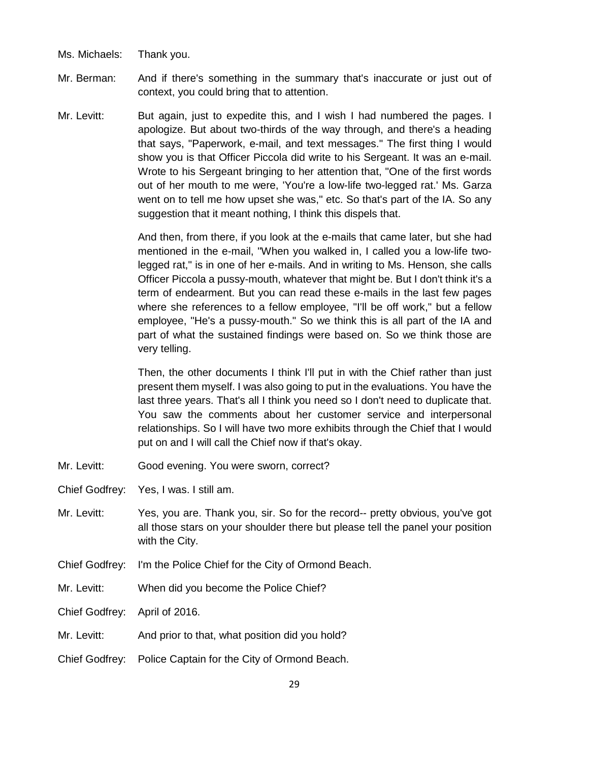- Ms. Michaels: Thank you.
- Mr. Berman: And if there's something in the summary that's inaccurate or just out of context, you could bring that to attention.
- Mr. Levitt: But again, just to expedite this, and I wish I had numbered the pages. I apologize. But about two-thirds of the way through, and there's a heading that says, "Paperwork, e-mail, and text messages." The first thing I would show you is that Officer Piccola did write to his Sergeant. It was an e-mail. Wrote to his Sergeant bringing to her attention that, "One of the first words out of her mouth to me were, 'You're a low-life two-legged rat.' Ms. Garza went on to tell me how upset she was," etc. So that's part of the IA. So any suggestion that it meant nothing, I think this dispels that.

And then, from there, if you look at the e-mails that came later, but she had mentioned in the e-mail, "When you walked in, I called you a low-life twolegged rat," is in one of her e-mails. And in writing to Ms. Henson, she calls Officer Piccola a pussy-mouth, whatever that might be. But I don't think it's a term of endearment. But you can read these e-mails in the last few pages where she references to a fellow employee, "I'll be off work," but a fellow employee, "He's a pussy-mouth." So we think this is all part of the IA and part of what the sustained findings were based on. So we think those are very telling.

Then, the other documents I think I'll put in with the Chief rather than just present them myself. I was also going to put in the evaluations. You have the last three years. That's all I think you need so I don't need to duplicate that. You saw the comments about her customer service and interpersonal relationships. So I will have two more exhibits through the Chief that I would put on and I will call the Chief now if that's okay.

- Mr. Levitt: Good evening. You were sworn, correct?
- Chief Godfrey: Yes, I was. I still am.
- Mr. Levitt: Yes, you are. Thank you, sir. So for the record-- pretty obvious, you've got all those stars on your shoulder there but please tell the panel your position with the City.
- Chief Godfrey: I'm the Police Chief for the City of Ormond Beach.
- Mr. Levitt: When did you become the Police Chief?
- Chief Godfrey: April of 2016.
- Mr. Levitt: And prior to that, what position did you hold?
- Chief Godfrey: Police Captain for the City of Ormond Beach.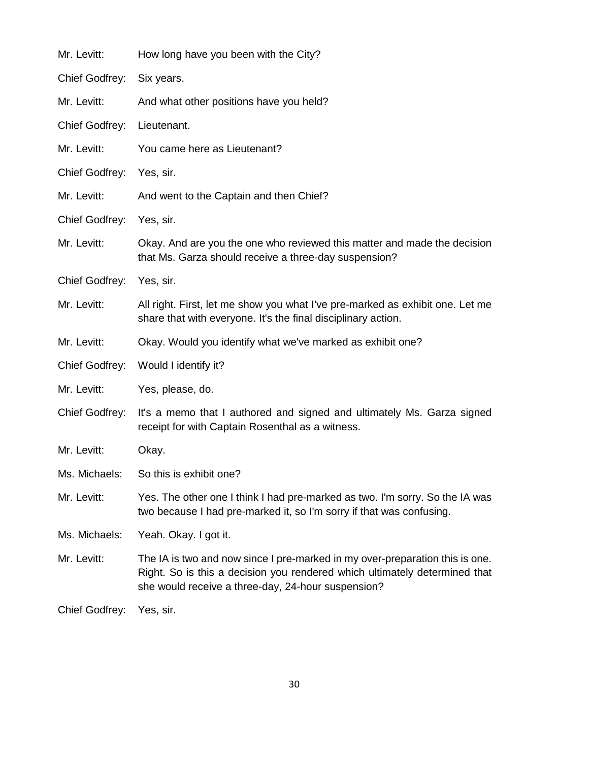| Mr. Levitt:           | How long have you been with the City?                                                                                                                                                                            |
|-----------------------|------------------------------------------------------------------------------------------------------------------------------------------------------------------------------------------------------------------|
| <b>Chief Godfrey:</b> | Six years.                                                                                                                                                                                                       |
| Mr. Levitt:           | And what other positions have you held?                                                                                                                                                                          |
| <b>Chief Godfrey:</b> | Lieutenant.                                                                                                                                                                                                      |
| Mr. Levitt:           | You came here as Lieutenant?                                                                                                                                                                                     |
| <b>Chief Godfrey:</b> | Yes, sir.                                                                                                                                                                                                        |
| Mr. Levitt:           | And went to the Captain and then Chief?                                                                                                                                                                          |
| Chief Godfrey:        | Yes, sir.                                                                                                                                                                                                        |
| Mr. Levitt:           | Okay. And are you the one who reviewed this matter and made the decision<br>that Ms. Garza should receive a three-day suspension?                                                                                |
| <b>Chief Godfrey:</b> | Yes, sir.                                                                                                                                                                                                        |
| Mr. Levitt:           | All right. First, let me show you what I've pre-marked as exhibit one. Let me<br>share that with everyone. It's the final disciplinary action.                                                                   |
| Mr. Levitt:           | Okay. Would you identify what we've marked as exhibit one?                                                                                                                                                       |
| Chief Godfrey:        | Would I identify it?                                                                                                                                                                                             |
| Mr. Levitt:           | Yes, please, do.                                                                                                                                                                                                 |
| Chief Godfrey:        | It's a memo that I authored and signed and ultimately Ms. Garza signed<br>receipt for with Captain Rosenthal as a witness.                                                                                       |
| Mr. Levitt:           | Okay.                                                                                                                                                                                                            |
| Ms. Michaels:         | So this is exhibit one?                                                                                                                                                                                          |
| Mr. Levitt:           | Yes. The other one I think I had pre-marked as two. I'm sorry. So the IA was<br>two because I had pre-marked it, so I'm sorry if that was confusing.                                                             |
| Ms. Michaels:         | Yeah. Okay. I got it.                                                                                                                                                                                            |
| Mr. Levitt:           | The IA is two and now since I pre-marked in my over-preparation this is one.<br>Right. So is this a decision you rendered which ultimately determined that<br>she would receive a three-day, 24-hour suspension? |
| <b>Chief Godfrey:</b> | Yes, sir.                                                                                                                                                                                                        |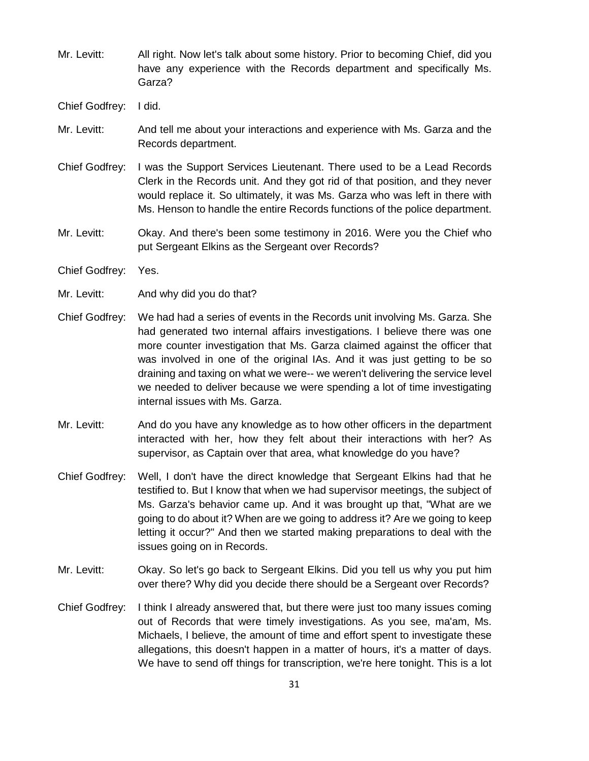- Mr. Levitt: All right. Now let's talk about some history. Prior to becoming Chief, did you have any experience with the Records department and specifically Ms. Garza?
- Chief Godfrey: I did.
- Mr. Levitt: And tell me about your interactions and experience with Ms. Garza and the Records department.
- Chief Godfrey: I was the Support Services Lieutenant. There used to be a Lead Records Clerk in the Records unit. And they got rid of that position, and they never would replace it. So ultimately, it was Ms. Garza who was left in there with Ms. Henson to handle the entire Records functions of the police department.
- Mr. Levitt: Okay. And there's been some testimony in 2016. Were you the Chief who put Sergeant Elkins as the Sergeant over Records?
- Chief Godfrey: Yes.
- Mr. Levitt: And why did you do that?
- Chief Godfrey: We had had a series of events in the Records unit involving Ms. Garza. She had generated two internal affairs investigations. I believe there was one more counter investigation that Ms. Garza claimed against the officer that was involved in one of the original IAs. And it was just getting to be so draining and taxing on what we were-- we weren't delivering the service level we needed to deliver because we were spending a lot of time investigating internal issues with Ms. Garza.
- Mr. Levitt: And do you have any knowledge as to how other officers in the department interacted with her, how they felt about their interactions with her? As supervisor, as Captain over that area, what knowledge do you have?
- Chief Godfrey: Well, I don't have the direct knowledge that Sergeant Elkins had that he testified to. But I know that when we had supervisor meetings, the subject of Ms. Garza's behavior came up. And it was brought up that, "What are we going to do about it? When are we going to address it? Are we going to keep letting it occur?" And then we started making preparations to deal with the issues going on in Records.
- Mr. Levitt: Okay. So let's go back to Sergeant Elkins. Did you tell us why you put him over there? Why did you decide there should be a Sergeant over Records?
- Chief Godfrey: I think I already answered that, but there were just too many issues coming out of Records that were timely investigations. As you see, ma'am, Ms. Michaels, I believe, the amount of time and effort spent to investigate these allegations, this doesn't happen in a matter of hours, it's a matter of days. We have to send off things for transcription, we're here tonight. This is a lot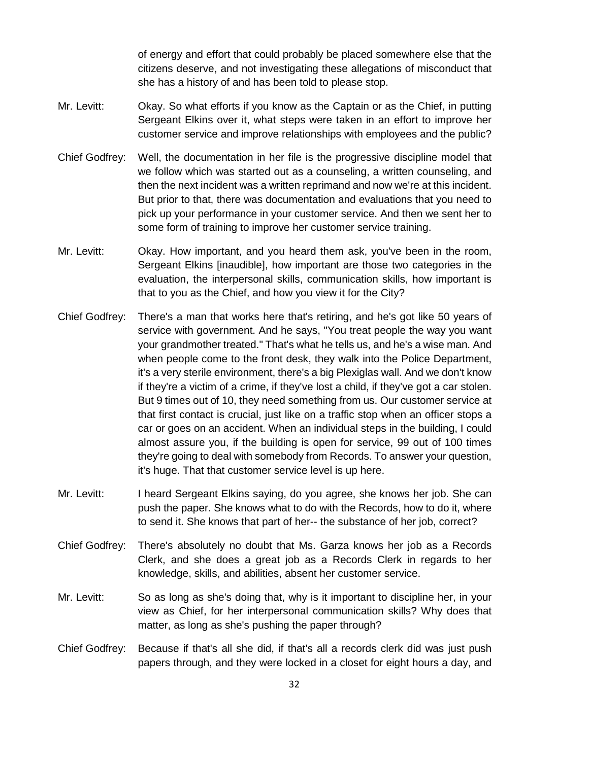of energy and effort that could probably be placed somewhere else that the citizens deserve, and not investigating these allegations of misconduct that she has a history of and has been told to please stop.

- Mr. Levitt: Okay. So what efforts if you know as the Captain or as the Chief, in putting Sergeant Elkins over it, what steps were taken in an effort to improve her customer service and improve relationships with employees and the public?
- Chief Godfrey: Well, the documentation in her file is the progressive discipline model that we follow which was started out as a counseling, a written counseling, and then the next incident was a written reprimand and now we're at this incident. But prior to that, there was documentation and evaluations that you need to pick up your performance in your customer service. And then we sent her to some form of training to improve her customer service training.
- Mr. Levitt: Okay. How important, and you heard them ask, you've been in the room, Sergeant Elkins [inaudible], how important are those two categories in the evaluation, the interpersonal skills, communication skills, how important is that to you as the Chief, and how you view it for the City?
- Chief Godfrey: There's a man that works here that's retiring, and he's got like 50 years of service with government. And he says, "You treat people the way you want your grandmother treated." That's what he tells us, and he's a wise man. And when people come to the front desk, they walk into the Police Department, it's a very sterile environment, there's a big Plexiglas wall. And we don't know if they're a victim of a crime, if they've lost a child, if they've got a car stolen. But 9 times out of 10, they need something from us. Our customer service at that first contact is crucial, just like on a traffic stop when an officer stops a car or goes on an accident. When an individual steps in the building, I could almost assure you, if the building is open for service, 99 out of 100 times they're going to deal with somebody from Records. To answer your question, it's huge. That that customer service level is up here.
- Mr. Levitt: I heard Sergeant Elkins saying, do you agree, she knows her job. She can push the paper. She knows what to do with the Records, how to do it, where to send it. She knows that part of her-- the substance of her job, correct?
- Chief Godfrey: There's absolutely no doubt that Ms. Garza knows her job as a Records Clerk, and she does a great job as a Records Clerk in regards to her knowledge, skills, and abilities, absent her customer service.
- Mr. Levitt: So as long as she's doing that, why is it important to discipline her, in your view as Chief, for her interpersonal communication skills? Why does that matter, as long as she's pushing the paper through?
- Chief Godfrey: Because if that's all she did, if that's all a records clerk did was just push papers through, and they were locked in a closet for eight hours a day, and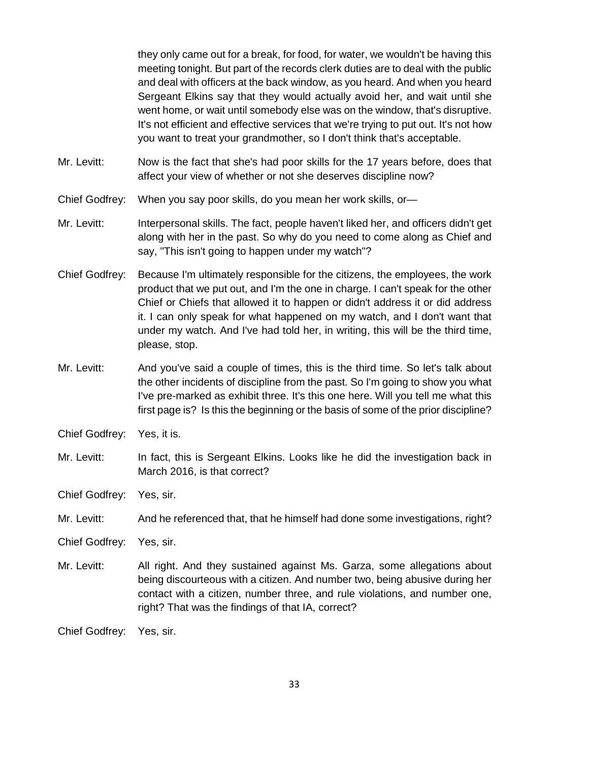they only came out for a break, for food, for water, we wouldn't be having this meeting tonight. But part of the records clerk duties are to deal with the public and deal with officers at the back window, as you heard. And when you heard Sergeant Elkins say that they would actually avoid her, and wait until she went home, or wait until somebody else was on the window, that's disruptive. It's not efficient and effective services that we're trying to put out. It's not how you want to treat your grandmother, so I don't think that's acceptable.

- Mr. Levitt: Now is the fact that she's had poor skills for the 17 years before, does that affect your view of whether or not she deserves discipline now?
- Chief Godfrey: When you say poor skills, do you mean her work skills, or—
- Mr. Levitt: Interpersonal skills. The fact, people haven't liked her, and officers didn't get along with her in the past. So why do you need to come along as Chief and say, "This isn't going to happen under my watch"?
- Chief Godfrey: Because I'm ultimately responsible for the citizens, the employees, the work product that we put out, and I'm the one in charge. I can't speak for the other Chief or Chiefs that allowed it to happen or didn't address it or did address it. I can only speak for what happened on my watch, and I don't want that under my watch. And I've had told her, in writing, this will be the third time, please, stop.
- Mr. Levitt: And you've said a couple of times, this is the third time. So let's talk about the other incidents of discipline from the past. So I'm going to show you what I've pre-marked as exhibit three. It's this one here. Will you tell me what this first page is? Is this the beginning or the basis of some of the prior discipline?
- Chief Godfrey: Yes, it is.
- Mr. Levitt: In fact, this is Sergeant Elkins. Looks like he did the investigation back in March 2016, is that correct?
- Chief Godfrey: Yes, sir.
- Mr. Levitt: And he referenced that, that he himself had done some investigations, right?
- Chief Godfrey: Yes, sir.
- Mr. Levitt: All right. And they sustained against Ms. Garza, some allegations about being discourteous with a citizen. And number two, being abusive during her contact with a citizen, number three, and rule violations, and number one, right? That was the findings of that IA, correct?

Chief Godfrey: Yes, sir.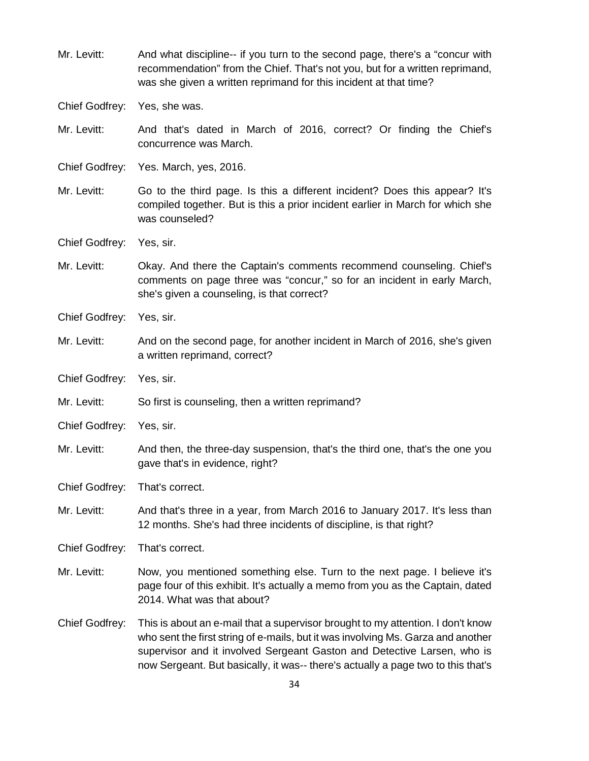Mr. Levitt: And what discipline-- if you turn to the second page, there's a "concur with recommendation" from the Chief. That's not you, but for a written reprimand, was she given a written reprimand for this incident at that time? Chief Godfrey: Yes, she was. Mr. Levitt: And that's dated in March of 2016, correct? Or finding the Chief's concurrence was March. Chief Godfrey: Yes. March, yes, 2016. Mr. Levitt: Go to the third page. Is this a different incident? Does this appear? It's compiled together. But is this a prior incident earlier in March for which she was counseled? Chief Godfrey: Yes, sir. Mr. Levitt: Okay. And there the Captain's comments recommend counseling. Chief's comments on page three was "concur," so for an incident in early March, she's given a counseling, is that correct? Chief Godfrey: Yes, sir. Mr. Levitt: And on the second page, for another incident in March of 2016, she's given a written reprimand, correct? Chief Godfrey: Yes, sir. Mr. Levitt: So first is counseling, then a written reprimand? Chief Godfrey: Yes, sir. Mr. Levitt: And then, the three-day suspension, that's the third one, that's the one you gave that's in evidence, right? Chief Godfrey: That's correct. Mr. Levitt: And that's three in a year, from March 2016 to January 2017. It's less than 12 months. She's had three incidents of discipline, is that right? Chief Godfrey: That's correct. Mr. Levitt: Now, you mentioned something else. Turn to the next page. I believe it's page four of this exhibit. It's actually a memo from you as the Captain, dated 2014. What was that about? Chief Godfrey: This is about an e-mail that a supervisor brought to my attention. I don't know who sent the first string of e-mails, but it was involving Ms. Garza and another supervisor and it involved Sergeant Gaston and Detective Larsen, who is now Sergeant. But basically, it was-- there's actually a page two to this that's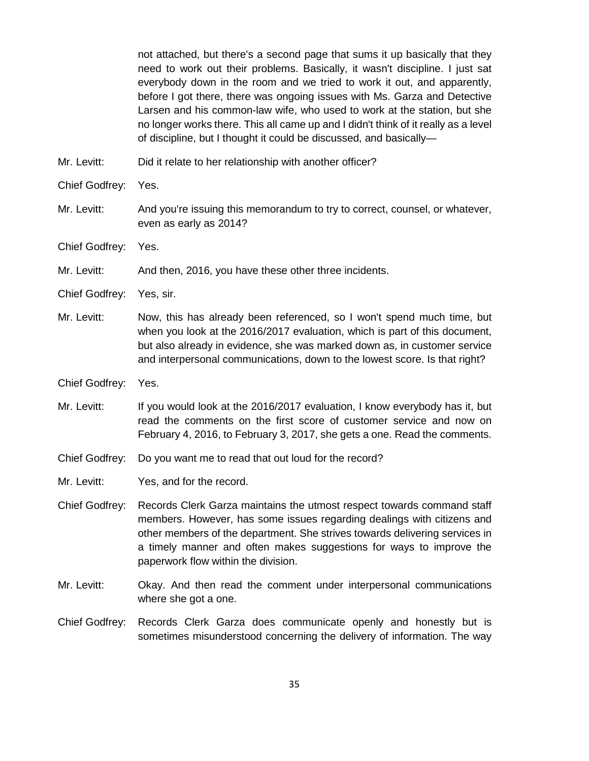not attached, but there's a second page that sums it up basically that they need to work out their problems. Basically, it wasn't discipline. I just sat everybody down in the room and we tried to work it out, and apparently, before I got there, there was ongoing issues with Ms. Garza and Detective Larsen and his common-law wife, who used to work at the station, but she no longer works there. This all came up and I didn't think of it really as a level of discipline, but I thought it could be discussed, and basically—

Mr. Levitt: Did it relate to her relationship with another officer?

Chief Godfrey: Yes.

- Mr. Levitt: And you're issuing this memorandum to try to correct, counsel, or whatever, even as early as 2014?
- Chief Godfrey: Yes.
- Mr. Levitt: And then, 2016, you have these other three incidents.
- Chief Godfrey: Yes, sir.
- Mr. Levitt: Now, this has already been referenced, so I won't spend much time, but when you look at the 2016/2017 evaluation, which is part of this document, but also already in evidence, she was marked down as, in customer service and interpersonal communications, down to the lowest score. Is that right?
- Chief Godfrey: Yes.
- Mr. Levitt: If you would look at the 2016/2017 evaluation, I know everybody has it, but read the comments on the first score of customer service and now on February 4, 2016, to February 3, 2017, she gets a one. Read the comments.
- Chief Godfrey: Do you want me to read that out loud for the record?
- Mr. Levitt: Yes, and for the record.
- Chief Godfrey: Records Clerk Garza maintains the utmost respect towards command staff members. However, has some issues regarding dealings with citizens and other members of the department. She strives towards delivering services in a timely manner and often makes suggestions for ways to improve the paperwork flow within the division.
- Mr. Levitt: Okay. And then read the comment under interpersonal communications where she got a one.
- Chief Godfrey: Records Clerk Garza does communicate openly and honestly but is sometimes misunderstood concerning the delivery of information. The way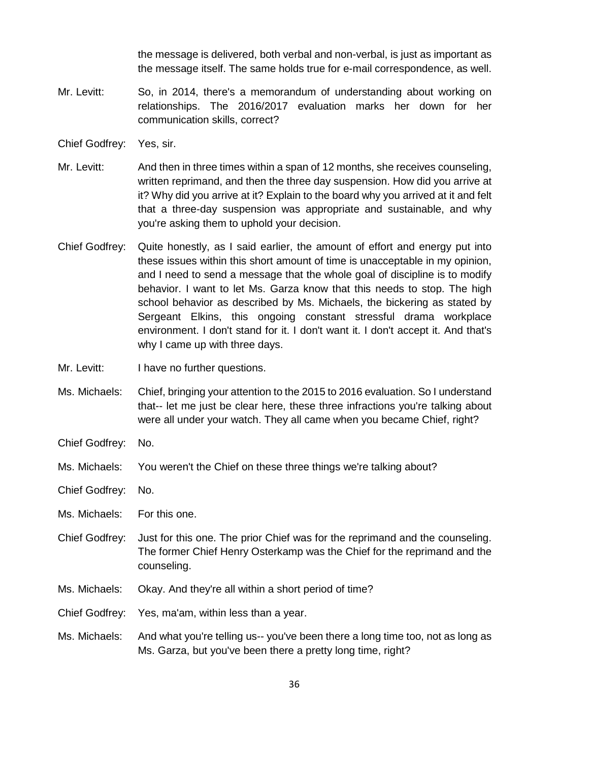the message is delivered, both verbal and non-verbal, is just as important as the message itself. The same holds true for e-mail correspondence, as well.

- Mr. Levitt: So, in 2014, there's a memorandum of understanding about working on relationships. The 2016/2017 evaluation marks her down for her communication skills, correct?
- Chief Godfrey: Yes, sir.
- Mr. Levitt: And then in three times within a span of 12 months, she receives counseling, written reprimand, and then the three day suspension. How did you arrive at it? Why did you arrive at it? Explain to the board why you arrived at it and felt that a three-day suspension was appropriate and sustainable, and why you're asking them to uphold your decision.
- Chief Godfrey: Quite honestly, as I said earlier, the amount of effort and energy put into these issues within this short amount of time is unacceptable in my opinion, and I need to send a message that the whole goal of discipline is to modify behavior. I want to let Ms. Garza know that this needs to stop. The high school behavior as described by Ms. Michaels, the bickering as stated by Sergeant Elkins, this ongoing constant stressful drama workplace environment. I don't stand for it. I don't want it. I don't accept it. And that's why I came up with three days.
- Mr. Levitt: I have no further questions.
- Ms. Michaels: Chief, bringing your attention to the 2015 to 2016 evaluation. So I understand that-- let me just be clear here, these three infractions you're talking about were all under your watch. They all came when you became Chief, right?
- Chief Godfrey: No.
- Ms. Michaels: You weren't the Chief on these three things we're talking about?
- Chief Godfrey: No.
- Ms. Michaels: For this one.
- Chief Godfrey: Just for this one. The prior Chief was for the reprimand and the counseling. The former Chief Henry Osterkamp was the Chief for the reprimand and the counseling.
- Ms. Michaels: Okay. And they're all within a short period of time?
- Chief Godfrey: Yes, ma'am, within less than a year.
- Ms. Michaels: And what you're telling us-- you've been there a long time too, not as long as Ms. Garza, but you've been there a pretty long time, right?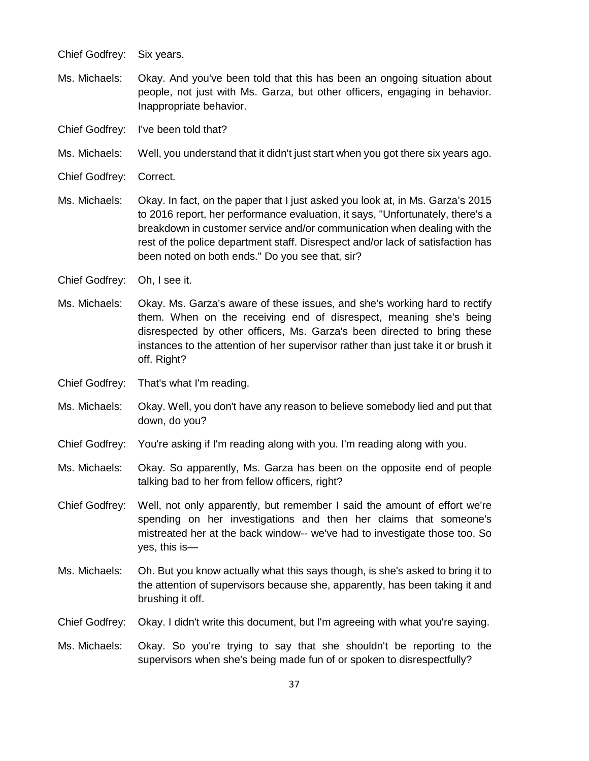Chief Godfrey: Six years.

- Ms. Michaels: Okay. And you've been told that this has been an ongoing situation about people, not just with Ms. Garza, but other officers, engaging in behavior. Inappropriate behavior.
- Chief Godfrey: I've been told that?
- Ms. Michaels: Well, you understand that it didn't just start when you got there six years ago.
- Chief Godfrey: Correct.
- Ms. Michaels: Okay. In fact, on the paper that I just asked you look at, in Ms. Garza's 2015 to 2016 report, her performance evaluation, it says, "Unfortunately, there's a breakdown in customer service and/or communication when dealing with the rest of the police department staff. Disrespect and/or lack of satisfaction has been noted on both ends." Do you see that, sir?
- Chief Godfrey: Oh, I see it.
- Ms. Michaels: Okay. Ms. Garza's aware of these issues, and she's working hard to rectify them. When on the receiving end of disrespect, meaning she's being disrespected by other officers, Ms. Garza's been directed to bring these instances to the attention of her supervisor rather than just take it or brush it off. Right?
- Chief Godfrey: That's what I'm reading.
- Ms. Michaels: Okay. Well, you don't have any reason to believe somebody lied and put that down, do you?
- Chief Godfrey: You're asking if I'm reading along with you. I'm reading along with you.
- Ms. Michaels: Okay. So apparently, Ms. Garza has been on the opposite end of people talking bad to her from fellow officers, right?
- Chief Godfrey: Well, not only apparently, but remember I said the amount of effort we're spending on her investigations and then her claims that someone's mistreated her at the back window-- we've had to investigate those too. So yes, this is—
- Ms. Michaels: Oh. But you know actually what this says though, is she's asked to bring it to the attention of supervisors because she, apparently, has been taking it and brushing it off.
- Chief Godfrey: Okay. I didn't write this document, but I'm agreeing with what you're saying.
- Ms. Michaels: Okay. So you're trying to say that she shouldn't be reporting to the supervisors when she's being made fun of or spoken to disrespectfully?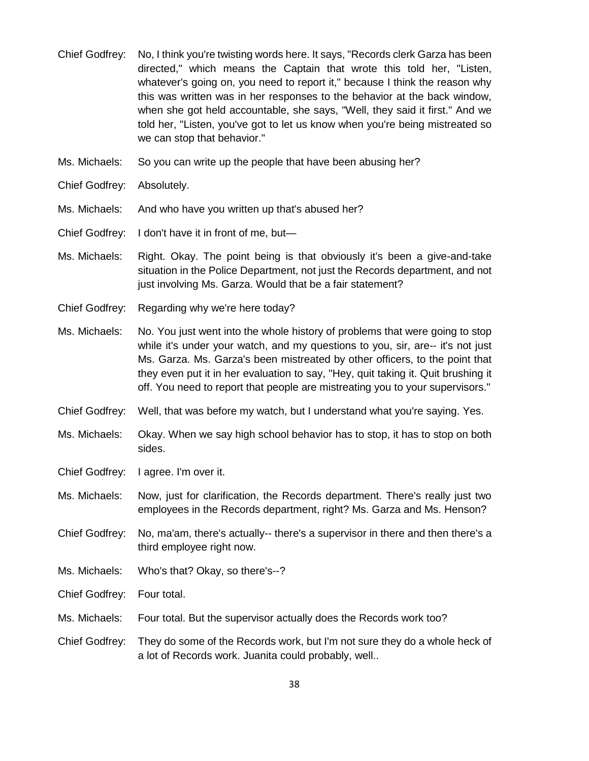- Chief Godfrey: No, I think you're twisting words here. It says, "Records clerk Garza has been directed," which means the Captain that wrote this told her, "Listen, whatever's going on, you need to report it," because I think the reason why this was written was in her responses to the behavior at the back window, when she got held accountable, she says, "Well, they said it first." And we told her, "Listen, you've got to let us know when you're being mistreated so we can stop that behavior."
- Ms. Michaels: So you can write up the people that have been abusing her?
- Chief Godfrey: Absolutely.
- Ms. Michaels: And who have you written up that's abused her?
- Chief Godfrey: I don't have it in front of me, but—
- Ms. Michaels: Right. Okay. The point being is that obviously it's been a give-and-take situation in the Police Department, not just the Records department, and not just involving Ms. Garza. Would that be a fair statement?
- Chief Godfrey: Regarding why we're here today?
- Ms. Michaels: No. You just went into the whole history of problems that were going to stop while it's under your watch, and my questions to you, sir, are-- it's not just Ms. Garza. Ms. Garza's been mistreated by other officers, to the point that they even put it in her evaluation to say, "Hey, quit taking it. Quit brushing it off. You need to report that people are mistreating you to your supervisors."
- Chief Godfrey: Well, that was before my watch, but I understand what you're saying. Yes.
- Ms. Michaels: Okay. When we say high school behavior has to stop, it has to stop on both sides.
- Chief Godfrey: I agree. I'm over it.
- Ms. Michaels: Now, just for clarification, the Records department. There's really just two employees in the Records department, right? Ms. Garza and Ms. Henson?
- Chief Godfrey: No, ma'am, there's actually-- there's a supervisor in there and then there's a third employee right now.
- Ms. Michaels: Who's that? Okay, so there's--?
- Chief Godfrey: Four total.
- Ms. Michaels: Four total. But the supervisor actually does the Records work too?
- Chief Godfrey: They do some of the Records work, but I'm not sure they do a whole heck of a lot of Records work. Juanita could probably, well..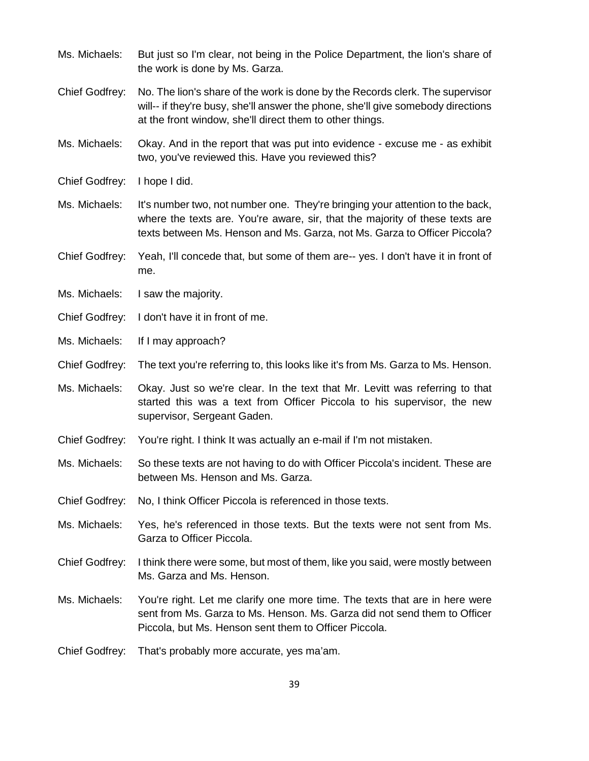| Ms. Michaels:         | But just so I'm clear, not being in the Police Department, the lion's share of<br>the work is done by Ms. Garza.                                                                                                                           |
|-----------------------|--------------------------------------------------------------------------------------------------------------------------------------------------------------------------------------------------------------------------------------------|
| <b>Chief Godfrey:</b> | No. The lion's share of the work is done by the Records clerk. The supervisor<br>will-- if they're busy, she'll answer the phone, she'll give somebody directions<br>at the front window, she'll direct them to other things.              |
| Ms. Michaels:         | Okay. And in the report that was put into evidence - excuse me - as exhibit<br>two, you've reviewed this. Have you reviewed this?                                                                                                          |
| <b>Chief Godfrey:</b> | I hope I did.                                                                                                                                                                                                                              |
| Ms. Michaels:         | It's number two, not number one. They're bringing your attention to the back,<br>where the texts are. You're aware, sir, that the majority of these texts are<br>texts between Ms. Henson and Ms. Garza, not Ms. Garza to Officer Piccola? |
| <b>Chief Godfrey:</b> | Yeah, I'll concede that, but some of them are-- yes. I don't have it in front of<br>me.                                                                                                                                                    |
| Ms. Michaels:         | I saw the majority.                                                                                                                                                                                                                        |
| <b>Chief Godfrey:</b> | I don't have it in front of me.                                                                                                                                                                                                            |
| Ms. Michaels:         | If I may approach?                                                                                                                                                                                                                         |
| <b>Chief Godfrey:</b> | The text you're referring to, this looks like it's from Ms. Garza to Ms. Henson.                                                                                                                                                           |
| Ms. Michaels:         | Okay. Just so we're clear. In the text that Mr. Levitt was referring to that<br>started this was a text from Officer Piccola to his supervisor, the new<br>supervisor, Sergeant Gaden.                                                     |
| Chief Godfrey:        | You're right. I think It was actually an e-mail if I'm not mistaken.                                                                                                                                                                       |
| Ms. Michaels:         | So these texts are not having to do with Officer Piccola's incident. These are<br>between Ms. Henson and Ms. Garza.                                                                                                                        |
| Chief Godfrey:        | No, I think Officer Piccola is referenced in those texts.                                                                                                                                                                                  |
| Ms. Michaels:         | Yes, he's referenced in those texts. But the texts were not sent from Ms.<br>Garza to Officer Piccola.                                                                                                                                     |
| <b>Chief Godfrey:</b> | I think there were some, but most of them, like you said, were mostly between<br>Ms. Garza and Ms. Henson.                                                                                                                                 |
| Ms. Michaels:         | You're right. Let me clarify one more time. The texts that are in here were<br>sent from Ms. Garza to Ms. Henson. Ms. Garza did not send them to Officer<br>Piccola, but Ms. Henson sent them to Officer Piccola.                          |
| Chief Godfrey:        | That's probably more accurate, yes ma'am.                                                                                                                                                                                                  |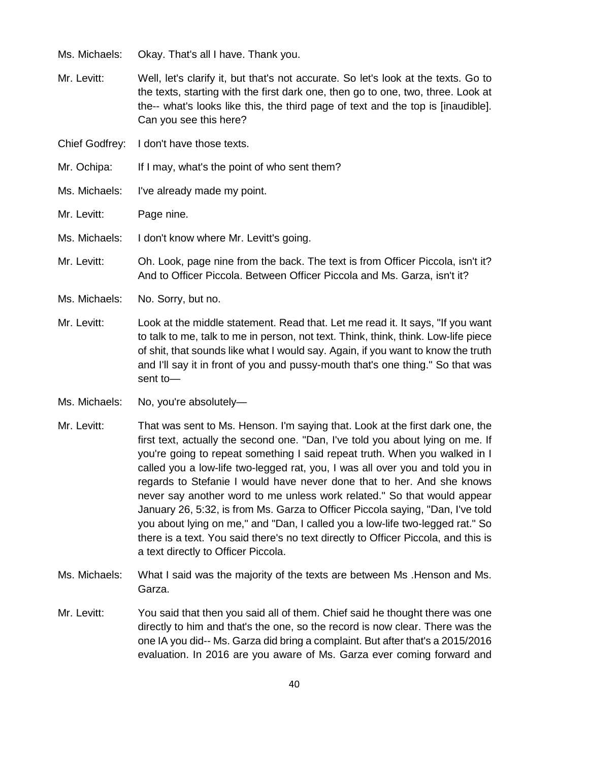- Ms. Michaels: Okay. That's all I have. Thank you.
- Mr. Levitt: Well, let's clarify it, but that's not accurate. So let's look at the texts. Go to the texts, starting with the first dark one, then go to one, two, three. Look at the-- what's looks like this, the third page of text and the top is [inaudible]. Can you see this here?
- Chief Godfrey: I don't have those texts.
- Mr. Ochipa: If I may, what's the point of who sent them?
- Ms. Michaels: I've already made my point.
- Mr. Levitt: Page nine.
- Ms. Michaels: I don't know where Mr. Levitt's going.
- Mr. Levitt: Oh. Look, page nine from the back. The text is from Officer Piccola, isn't it? And to Officer Piccola. Between Officer Piccola and Ms. Garza, isn't it?
- Ms. Michaels: No. Sorry, but no.
- Mr. Levitt: Look at the middle statement. Read that. Let me read it. It says, "If you want to talk to me, talk to me in person, not text. Think, think, think. Low-life piece of shit, that sounds like what I would say. Again, if you want to know the truth and I'll say it in front of you and pussy-mouth that's one thing." So that was sent to—
- Ms. Michaels: No, you're absolutely—
- Mr. Levitt: That was sent to Ms. Henson. I'm saying that. Look at the first dark one, the first text, actually the second one. "Dan, I've told you about lying on me. If you're going to repeat something I said repeat truth. When you walked in I called you a low-life two-legged rat, you, I was all over you and told you in regards to Stefanie I would have never done that to her. And she knows never say another word to me unless work related." So that would appear January 26, 5:32, is from Ms. Garza to Officer Piccola saying, "Dan, I've told you about lying on me," and "Dan, I called you a low-life two-legged rat." So there is a text. You said there's no text directly to Officer Piccola, and this is a text directly to Officer Piccola.
- Ms. Michaels: What I said was the majority of the texts are between Ms .Henson and Ms. Garza.
- Mr. Levitt: You said that then you said all of them. Chief said he thought there was one directly to him and that's the one, so the record is now clear. There was the one IA you did-- Ms. Garza did bring a complaint. But after that's a 2015/2016 evaluation. In 2016 are you aware of Ms. Garza ever coming forward and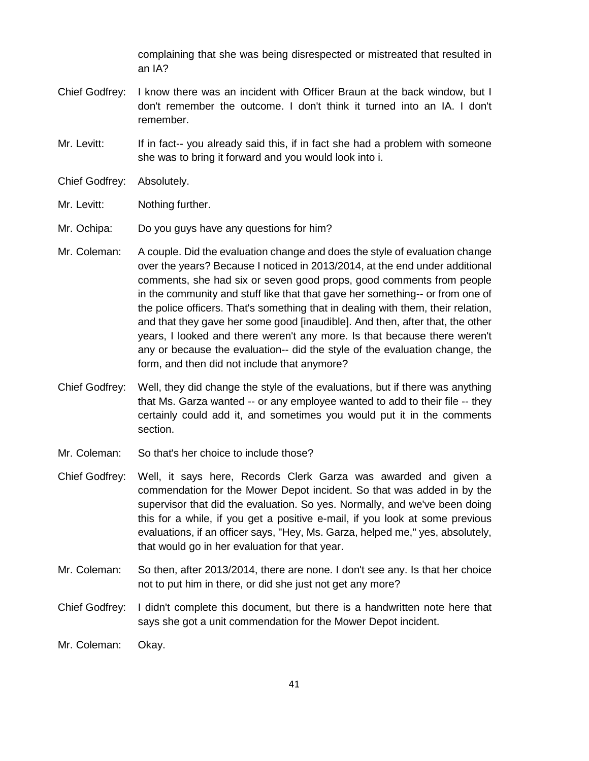complaining that she was being disrespected or mistreated that resulted in an IA?

- Chief Godfrey: I know there was an incident with Officer Braun at the back window, but I don't remember the outcome. I don't think it turned into an IA. I don't remember.
- Mr. Levitt: If in fact-- you already said this, if in fact she had a problem with someone she was to bring it forward and you would look into i.
- Chief Godfrey: Absolutely.
- Mr. Levitt: Nothing further.
- Mr. Ochipa: Do you guys have any questions for him?
- Mr. Coleman: A couple. Did the evaluation change and does the style of evaluation change over the years? Because I noticed in 2013/2014, at the end under additional comments, she had six or seven good props, good comments from people in the community and stuff like that that gave her something-- or from one of the police officers. That's something that in dealing with them, their relation, and that they gave her some good [inaudible]. And then, after that, the other years, I looked and there weren't any more. Is that because there weren't any or because the evaluation-- did the style of the evaluation change, the form, and then did not include that anymore?
- Chief Godfrey: Well, they did change the style of the evaluations, but if there was anything that Ms. Garza wanted -- or any employee wanted to add to their file -- they certainly could add it, and sometimes you would put it in the comments section.
- Mr. Coleman: So that's her choice to include those?
- Chief Godfrey: Well, it says here, Records Clerk Garza was awarded and given a commendation for the Mower Depot incident. So that was added in by the supervisor that did the evaluation. So yes. Normally, and we've been doing this for a while, if you get a positive e-mail, if you look at some previous evaluations, if an officer says, "Hey, Ms. Garza, helped me," yes, absolutely, that would go in her evaluation for that year.
- Mr. Coleman: So then, after 2013/2014, there are none. I don't see any. Is that her choice not to put him in there, or did she just not get any more?
- Chief Godfrey: I didn't complete this document, but there is a handwritten note here that says she got a unit commendation for the Mower Depot incident.
- Mr. Coleman: Okay.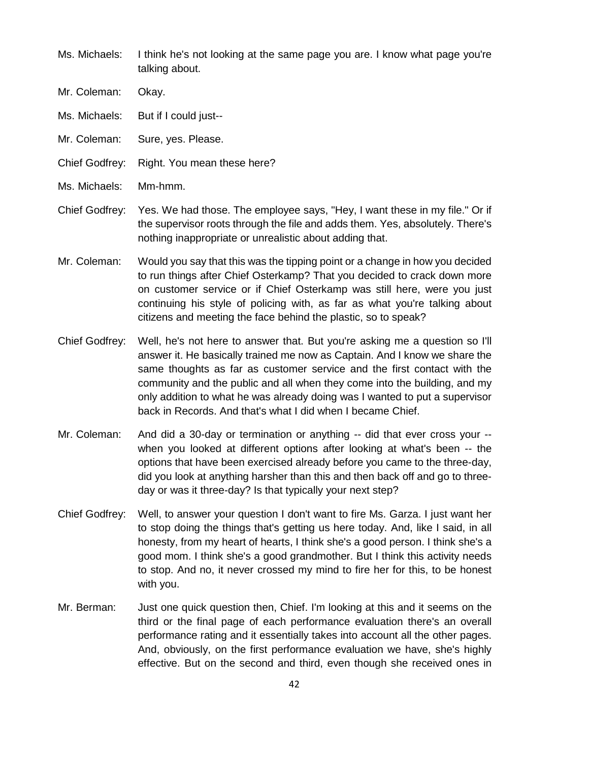- Ms. Michaels: I think he's not looking at the same page you are. I know what page you're talking about.
- Mr. Coleman: Okay.
- Ms. Michaels: But if I could just--
- Mr. Coleman: Sure, yes. Please.
- Chief Godfrey: Right. You mean these here?
- Ms. Michaels: Mm-hmm.
- Chief Godfrey: Yes. We had those. The employee says, "Hey, I want these in my file." Or if the supervisor roots through the file and adds them. Yes, absolutely. There's nothing inappropriate or unrealistic about adding that.
- Mr. Coleman: Would you say that this was the tipping point or a change in how you decided to run things after Chief Osterkamp? That you decided to crack down more on customer service or if Chief Osterkamp was still here, were you just continuing his style of policing with, as far as what you're talking about citizens and meeting the face behind the plastic, so to speak?
- Chief Godfrey: Well, he's not here to answer that. But you're asking me a question so I'll answer it. He basically trained me now as Captain. And I know we share the same thoughts as far as customer service and the first contact with the community and the public and all when they come into the building, and my only addition to what he was already doing was I wanted to put a supervisor back in Records. And that's what I did when I became Chief.
- Mr. Coleman: And did a 30-day or termination or anything -- did that ever cross your when you looked at different options after looking at what's been -- the options that have been exercised already before you came to the three-day, did you look at anything harsher than this and then back off and go to threeday or was it three-day? Is that typically your next step?
- Chief Godfrey: Well, to answer your question I don't want to fire Ms. Garza. I just want her to stop doing the things that's getting us here today. And, like I said, in all honesty, from my heart of hearts, I think she's a good person. I think she's a good mom. I think she's a good grandmother. But I think this activity needs to stop. And no, it never crossed my mind to fire her for this, to be honest with you.
- Mr. Berman: Just one quick question then, Chief. I'm looking at this and it seems on the third or the final page of each performance evaluation there's an overall performance rating and it essentially takes into account all the other pages. And, obviously, on the first performance evaluation we have, she's highly effective. But on the second and third, even though she received ones in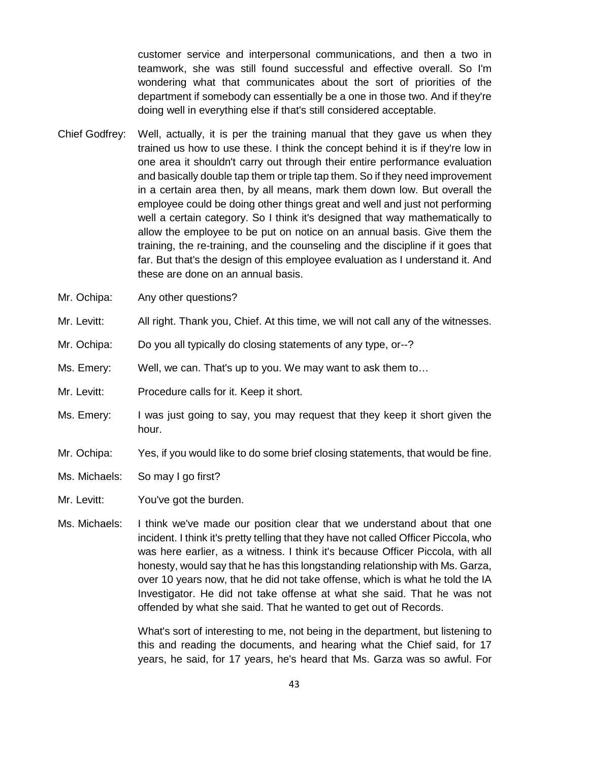customer service and interpersonal communications, and then a two in teamwork, she was still found successful and effective overall. So I'm wondering what that communicates about the sort of priorities of the department if somebody can essentially be a one in those two. And if they're doing well in everything else if that's still considered acceptable.

- Chief Godfrey: Well, actually, it is per the training manual that they gave us when they trained us how to use these. I think the concept behind it is if they're low in one area it shouldn't carry out through their entire performance evaluation and basically double tap them or triple tap them. So if they need improvement in a certain area then, by all means, mark them down low. But overall the employee could be doing other things great and well and just not performing well a certain category. So I think it's designed that way mathematically to allow the employee to be put on notice on an annual basis. Give them the training, the re-training, and the counseling and the discipline if it goes that far. But that's the design of this employee evaluation as I understand it. And these are done on an annual basis.
- Mr. Ochipa: Any other questions?
- Mr. Levitt: All right. Thank you, Chief. At this time, we will not call any of the witnesses.
- Mr. Ochipa: Do you all typically do closing statements of any type, or--?
- Ms. Emery: Well, we can. That's up to you. We may want to ask them to…
- Mr. Levitt: Procedure calls for it. Keep it short.
- Ms. Emery: I was just going to say, you may request that they keep it short given the hour.
- Mr. Ochipa: Yes, if you would like to do some brief closing statements, that would be fine.
- Ms. Michaels: So may I go first?
- Mr. Levitt: You've got the burden.
- Ms. Michaels: I think we've made our position clear that we understand about that one incident. I think it's pretty telling that they have not called Officer Piccola, who was here earlier, as a witness. I think it's because Officer Piccola, with all honesty, would say that he has this longstanding relationship with Ms. Garza, over 10 years now, that he did not take offense, which is what he told the IA Investigator. He did not take offense at what she said. That he was not offended by what she said. That he wanted to get out of Records.

What's sort of interesting to me, not being in the department, but listening to this and reading the documents, and hearing what the Chief said, for 17 years, he said, for 17 years, he's heard that Ms. Garza was so awful. For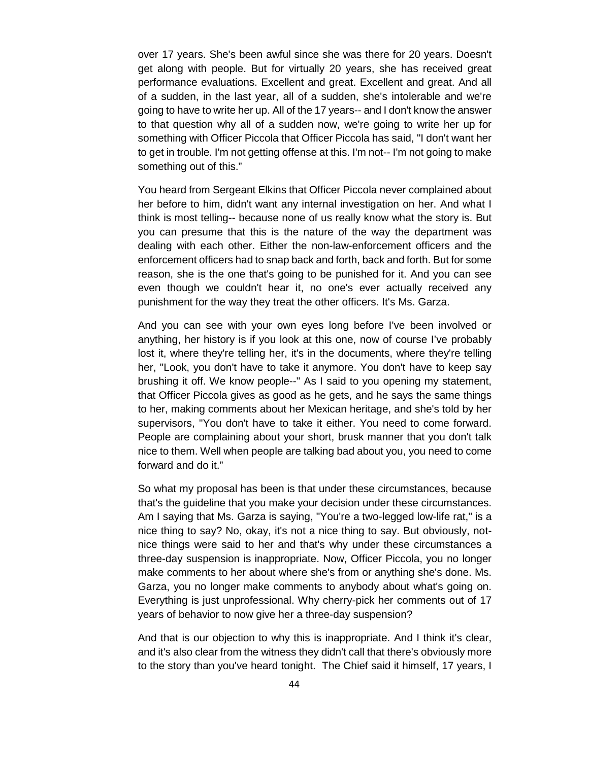over 17 years. She's been awful since she was there for 20 years. Doesn't get along with people. But for virtually 20 years, she has received great performance evaluations. Excellent and great. Excellent and great. And all of a sudden, in the last year, all of a sudden, she's intolerable and we're going to have to write her up. All of the 17 years-- and I don't know the answer to that question why all of a sudden now, we're going to write her up for something with Officer Piccola that Officer Piccola has said, "I don't want her to get in trouble. I'm not getting offense at this. I'm not-- I'm not going to make something out of this."

You heard from Sergeant Elkins that Officer Piccola never complained about her before to him, didn't want any internal investigation on her. And what I think is most telling-- because none of us really know what the story is. But you can presume that this is the nature of the way the department was dealing with each other. Either the non-law-enforcement officers and the enforcement officers had to snap back and forth, back and forth. But for some reason, she is the one that's going to be punished for it. And you can see even though we couldn't hear it, no one's ever actually received any punishment for the way they treat the other officers. It's Ms. Garza.

And you can see with your own eyes long before I've been involved or anything, her history is if you look at this one, now of course I've probably lost it, where they're telling her, it's in the documents, where they're telling her, "Look, you don't have to take it anymore. You don't have to keep say brushing it off. We know people--" As I said to you opening my statement, that Officer Piccola gives as good as he gets, and he says the same things to her, making comments about her Mexican heritage, and she's told by her supervisors, "You don't have to take it either. You need to come forward. People are complaining about your short, brusk manner that you don't talk nice to them. Well when people are talking bad about you, you need to come forward and do it."

So what my proposal has been is that under these circumstances, because that's the guideline that you make your decision under these circumstances. Am I saying that Ms. Garza is saying, "You're a two-legged low-life rat," is a nice thing to say? No, okay, it's not a nice thing to say. But obviously, notnice things were said to her and that's why under these circumstances a three-day suspension is inappropriate. Now, Officer Piccola, you no longer make comments to her about where she's from or anything she's done. Ms. Garza, you no longer make comments to anybody about what's going on. Everything is just unprofessional. Why cherry-pick her comments out of 17 years of behavior to now give her a three-day suspension?

And that is our objection to why this is inappropriate. And I think it's clear, and it's also clear from the witness they didn't call that there's obviously more to the story than you've heard tonight. The Chief said it himself, 17 years, I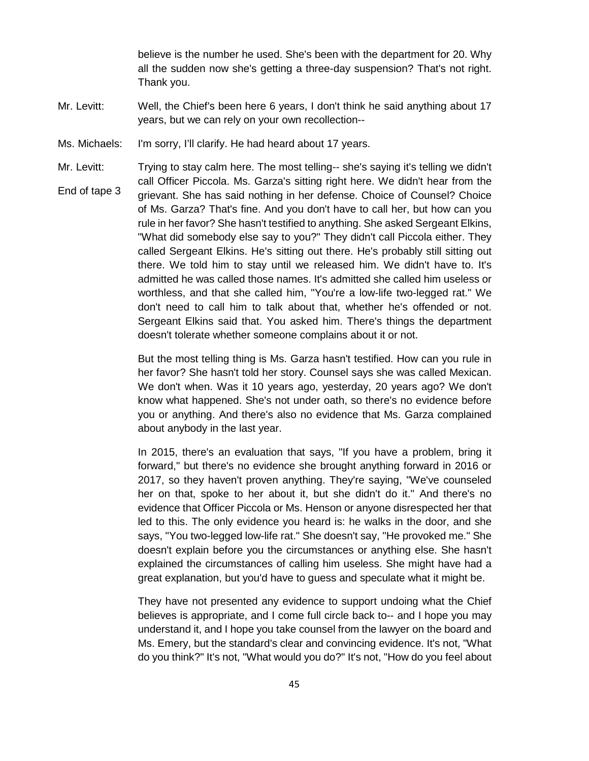believe is the number he used. She's been with the department for 20. Why all the sudden now she's getting a three-day suspension? That's not right. Thank you.

- Mr. Levitt: Well, the Chief's been here 6 years, I don't think he said anything about 17 years, but we can rely on your own recollection--
- Ms. Michaels: I'm sorry, I'll clarify. He had heard about 17 years.
- Mr. Levitt: End of tape 3 Trying to stay calm here. The most telling-- she's saying it's telling we didn't call Officer Piccola. Ms. Garza's sitting right here. We didn't hear from the grievant. She has said nothing in her defense. Choice of Counsel? Choice of Ms. Garza? That's fine. And you don't have to call her, but how can you rule in her favor? She hasn't testified to anything. She asked Sergeant Elkins, "What did somebody else say to you?" They didn't call Piccola either. They called Sergeant Elkins. He's sitting out there. He's probably still sitting out there. We told him to stay until we released him. We didn't have to. It's admitted he was called those names. It's admitted she called him useless or worthless, and that she called him, "You're a low-life two-legged rat." We don't need to call him to talk about that, whether he's offended or not. Sergeant Elkins said that. You asked him. There's things the department doesn't tolerate whether someone complains about it or not.

But the most telling thing is Ms. Garza hasn't testified. How can you rule in her favor? She hasn't told her story. Counsel says she was called Mexican. We don't when. Was it 10 years ago, yesterday, 20 years ago? We don't know what happened. She's not under oath, so there's no evidence before you or anything. And there's also no evidence that Ms. Garza complained about anybody in the last year.

In 2015, there's an evaluation that says, "If you have a problem, bring it forward," but there's no evidence she brought anything forward in 2016 or 2017, so they haven't proven anything. They're saying, "We've counseled her on that, spoke to her about it, but she didn't do it." And there's no evidence that Officer Piccola or Ms. Henson or anyone disrespected her that led to this. The only evidence you heard is: he walks in the door, and she says, "You two-legged low-life rat." She doesn't say, "He provoked me." She doesn't explain before you the circumstances or anything else. She hasn't explained the circumstances of calling him useless. She might have had a great explanation, but you'd have to guess and speculate what it might be.

They have not presented any evidence to support undoing what the Chief believes is appropriate, and I come full circle back to-- and I hope you may understand it, and I hope you take counsel from the lawyer on the board and Ms. Emery, but the standard's clear and convincing evidence. It's not, "What do you think?" It's not, "What would you do?" It's not, "How do you feel about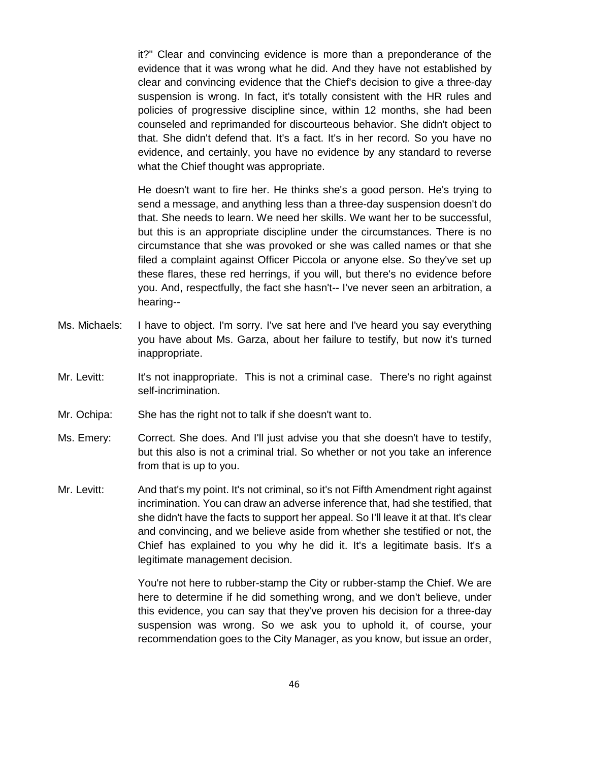it?" Clear and convincing evidence is more than a preponderance of the evidence that it was wrong what he did. And they have not established by clear and convincing evidence that the Chief's decision to give a three-day suspension is wrong. In fact, it's totally consistent with the HR rules and policies of progressive discipline since, within 12 months, she had been counseled and reprimanded for discourteous behavior. She didn't object to that. She didn't defend that. It's a fact. It's in her record. So you have no evidence, and certainly, you have no evidence by any standard to reverse what the Chief thought was appropriate.

He doesn't want to fire her. He thinks she's a good person. He's trying to send a message, and anything less than a three-day suspension doesn't do that. She needs to learn. We need her skills. We want her to be successful, but this is an appropriate discipline under the circumstances. There is no circumstance that she was provoked or she was called names or that she filed a complaint against Officer Piccola or anyone else. So they've set up these flares, these red herrings, if you will, but there's no evidence before you. And, respectfully, the fact she hasn't-- I've never seen an arbitration, a hearing--

- Ms. Michaels: I have to object. I'm sorry. I've sat here and I've heard you say everything you have about Ms. Garza, about her failure to testify, but now it's turned inappropriate.
- Mr. Levitt: It's not inappropriate. This is not a criminal case. There's no right against self-incrimination.
- Mr. Ochipa: She has the right not to talk if she doesn't want to.
- Ms. Emery: Correct. She does. And I'll just advise you that she doesn't have to testify, but this also is not a criminal trial. So whether or not you take an inference from that is up to you.
- Mr. Levitt: And that's my point. It's not criminal, so it's not Fifth Amendment right against incrimination. You can draw an adverse inference that, had she testified, that she didn't have the facts to support her appeal. So I'll leave it at that. It's clear and convincing, and we believe aside from whether she testified or not, the Chief has explained to you why he did it. It's a legitimate basis. It's a legitimate management decision.

You're not here to rubber-stamp the City or rubber-stamp the Chief. We are here to determine if he did something wrong, and we don't believe, under this evidence, you can say that they've proven his decision for a three-day suspension was wrong. So we ask you to uphold it, of course, your recommendation goes to the City Manager, as you know, but issue an order,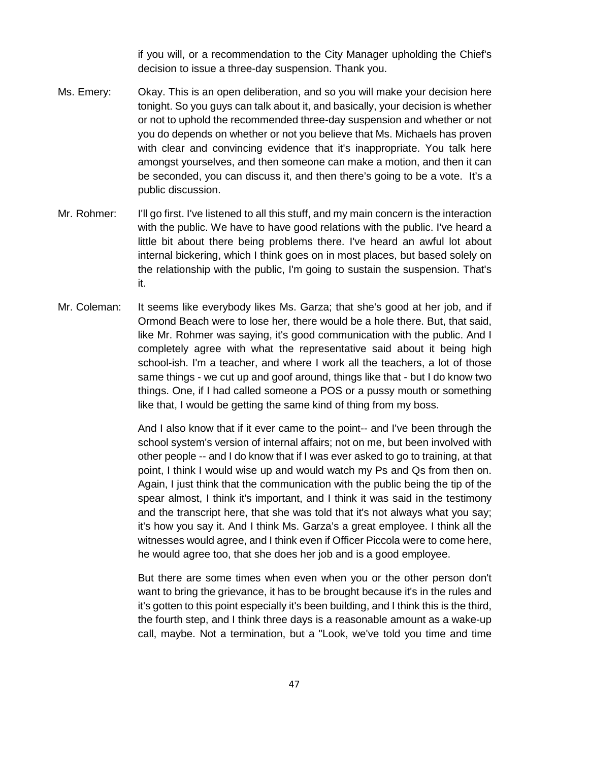if you will, or a recommendation to the City Manager upholding the Chief's decision to issue a three-day suspension. Thank you.

- Ms. Emery: Okay. This is an open deliberation, and so you will make your decision here tonight. So you guys can talk about it, and basically, your decision is whether or not to uphold the recommended three-day suspension and whether or not you do depends on whether or not you believe that Ms. Michaels has proven with clear and convincing evidence that it's inappropriate. You talk here amongst yourselves, and then someone can make a motion, and then it can be seconded, you can discuss it, and then there's going to be a vote. It's a public discussion.
- Mr. Rohmer: I'll go first. I've listened to all this stuff, and my main concern is the interaction with the public. We have to have good relations with the public. I've heard a little bit about there being problems there. I've heard an awful lot about internal bickering, which I think goes on in most places, but based solely on the relationship with the public, I'm going to sustain the suspension. That's it.
- Mr. Coleman: It seems like everybody likes Ms. Garza; that she's good at her job, and if Ormond Beach were to lose her, there would be a hole there. But, that said, like Mr. Rohmer was saying, it's good communication with the public. And I completely agree with what the representative said about it being high school-ish. I'm a teacher, and where I work all the teachers, a lot of those same things - we cut up and goof around, things like that - but I do know two things. One, if I had called someone a POS or a pussy mouth or something like that, I would be getting the same kind of thing from my boss.

And I also know that if it ever came to the point-- and I've been through the school system's version of internal affairs; not on me, but been involved with other people -- and I do know that if I was ever asked to go to training, at that point, I think I would wise up and would watch my Ps and Qs from then on. Again, I just think that the communication with the public being the tip of the spear almost, I think it's important, and I think it was said in the testimony and the transcript here, that she was told that it's not always what you say; it's how you say it. And I think Ms. Garza's a great employee. I think all the witnesses would agree, and I think even if Officer Piccola were to come here, he would agree too, that she does her job and is a good employee.

But there are some times when even when you or the other person don't want to bring the grievance, it has to be brought because it's in the rules and it's gotten to this point especially it's been building, and I think this is the third, the fourth step, and I think three days is a reasonable amount as a wake-up call, maybe. Not a termination, but a "Look, we've told you time and time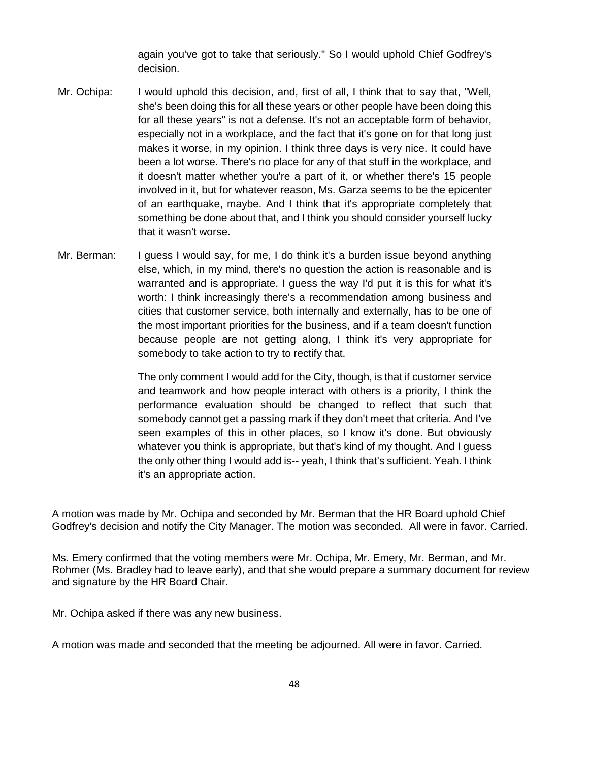again you've got to take that seriously." So I would uphold Chief Godfrey's decision.

- Mr. Ochipa: I would uphold this decision, and, first of all, I think that to say that, "Well, she's been doing this for all these years or other people have been doing this for all these years" is not a defense. It's not an acceptable form of behavior, especially not in a workplace, and the fact that it's gone on for that long just makes it worse, in my opinion. I think three days is very nice. It could have been a lot worse. There's no place for any of that stuff in the workplace, and it doesn't matter whether you're a part of it, or whether there's 15 people involved in it, but for whatever reason, Ms. Garza seems to be the epicenter of an earthquake, maybe. And I think that it's appropriate completely that something be done about that, and I think you should consider yourself lucky that it wasn't worse.
- Mr. Berman: I guess I would say, for me, I do think it's a burden issue beyond anything else, which, in my mind, there's no question the action is reasonable and is warranted and is appropriate. I guess the way I'd put it is this for what it's worth: I think increasingly there's a recommendation among business and cities that customer service, both internally and externally, has to be one of the most important priorities for the business, and if a team doesn't function because people are not getting along, I think it's very appropriate for somebody to take action to try to rectify that.

The only comment I would add for the City, though, is that if customer service and teamwork and how people interact with others is a priority, I think the performance evaluation should be changed to reflect that such that somebody cannot get a passing mark if they don't meet that criteria. And I've seen examples of this in other places, so I know it's done. But obviously whatever you think is appropriate, but that's kind of my thought. And I guess the only other thing I would add is-- yeah, I think that's sufficient. Yeah. I think it's an appropriate action.

A motion was made by Mr. Ochipa and seconded by Mr. Berman that the HR Board uphold Chief Godfrey's decision and notify the City Manager. The motion was seconded. All were in favor. Carried.

Ms. Emery confirmed that the voting members were Mr. Ochipa, Mr. Emery, Mr. Berman, and Mr. Rohmer (Ms. Bradley had to leave early), and that she would prepare a summary document for review and signature by the HR Board Chair.

Mr. Ochipa asked if there was any new business.

A motion was made and seconded that the meeting be adjourned. All were in favor. Carried.